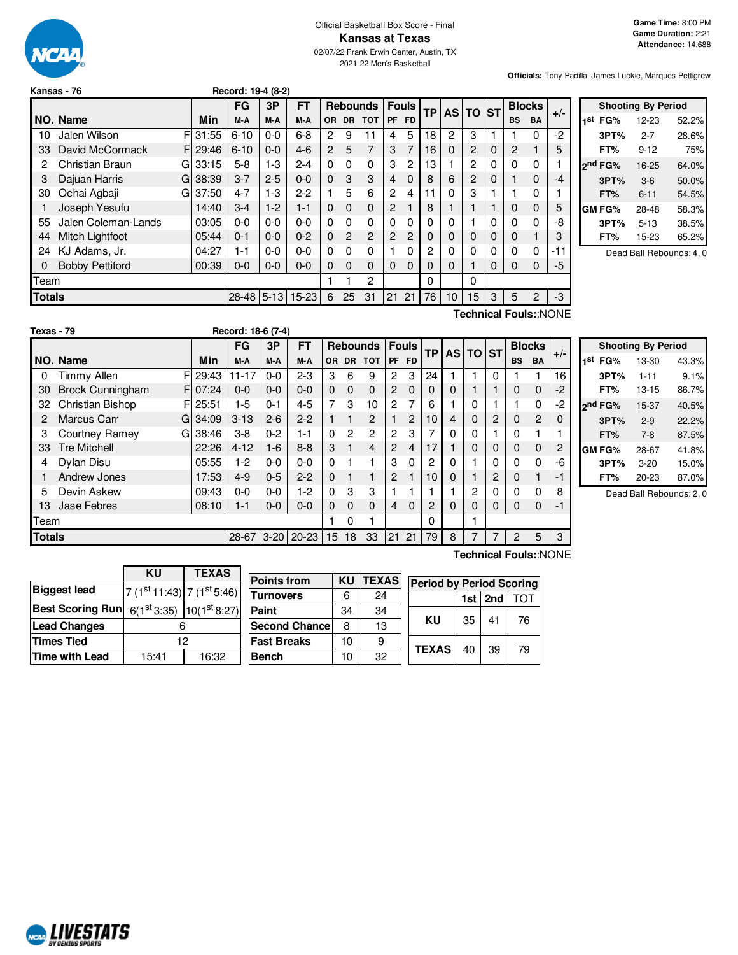

#### Official Basketball Box Score - Final **Kansas at Texas** 02/07/22 Frank Erwin Center, Austin, TX 2021-22 Men's Basketball

**Officials:** Tony Padilla, James Luckie, Marques Pettigrew

|               | Kansas - 76            |    |       | Record: 19-4 (8-2) |         |           |          |                |                 |                |              |           |              |          |   |           |               |                       |
|---------------|------------------------|----|-------|--------------------|---------|-----------|----------|----------------|-----------------|----------------|--------------|-----------|--------------|----------|---|-----------|---------------|-----------------------|
|               |                        |    |       | FG                 | 3P      | <b>FT</b> |          |                | <b>Rebounds</b> |                | <b>Fouls</b> | <b>TP</b> |              | AS TO ST |   |           | <b>Blocks</b> |                       |
|               | NO. Name               |    | Min   | M-A                | M-A     | M-A       | OR.      | <b>DR</b>      | <b>TOT</b>      | <b>PF</b>      | <b>FD</b>    |           |              |          |   | <b>BS</b> | <b>BA</b>     | $+/-$                 |
| 10            | Jalen Wilson           | F. | 31:55 | $6 - 10$           | $0 - 0$ | $6 - 8$   | 2        | 9              | 11              | 4              | 5            | 18        | 2            | 3        |   |           | $\Omega$      | -2                    |
| 33            | David McCormack        | FI | 29:46 | $6 - 10$           | $0 - 0$ | $4-6$     | 2        | 5              | 7               | 3              | 7            | 16        | 0            | 2        | 0 | 2         |               | 5                     |
| 2             | Christian Braun        | G. | 33:15 | $5-8$              | $1-3$   | $2 - 4$   | 0        | $\Omega$       | $\Omega$        | 3              | 2            | 13        |              | 2        | 0 | 0         | 0             |                       |
| З             | Dajuan Harris          | G  | 38:39 | $3 - 7$            | $2 - 5$ | $0 - 0$   | 0        | 3              | 3               | 4              | 0            | 8         | 6            | 2        | 0 |           | $\mathbf 0$   | -4                    |
| 30            | Ochai Agbaji           | G  | 37:50 | $4 - 7$            | $1 - 3$ | $2-2$     |          | 5              | 6               | $\overline{2}$ | 4            | 11        | 0            | 3        |   |           | 0             |                       |
|               | Joseph Yesufu          |    | 14:40 | $3-4$              | $1-2$   | $1 - 1$   | 0        | 0              | $\Omega$        | 2              |              | 8         | $\mathbf{1}$ |          |   | 0         | $\mathbf 0$   | 5                     |
| 55            | Jalen Coleman-Lands    |    | 03:05 | $0 - 0$            | $0-0$   | $0 - 0$   | 0        | $\Omega$       | 0               | $\Omega$       | 0            | 0         | 0            |          | 0 | 0         | 0             | -8                    |
| 44            | Mitch Lightfoot        |    | 05:44 | $0 - 1$            | $0-0$   | $0 - 2$   | 0        | $\overline{c}$ | $\mathfrak{p}$  | 2              | 2            | 0         | 0            | 0        | 0 | 0         |               | 3                     |
| 24            | KJ Adams, Jr.          |    | 04:27 | 1-1                | $0-0$   | $0 - 0$   | 0        | $\Omega$       | 0               |                | 0            | 2         | 0            | 0        | 0 | 0         | 0             | -11                   |
| 0             | <b>Bobby Pettiford</b> |    | 00:39 | $0 - 0$            | $0 - 0$ | $0 - 0$   | $\Omega$ | $\Omega$       | $\Omega$        | $\Omega$       | $\Omega$     | $\Omega$  | $\Omega$     |          | 0 | 0         | $\Omega$      | -5                    |
| Team          |                        |    |       |                    |         |           |          |                | 2               |                |              | 0         |              | 0        |   |           |               |                       |
| <b>Totals</b> |                        |    |       | 28-48 5-13         |         | $15 - 23$ | 6        | 25             | 31              | 21             | 21           | 76        | 10           | 15       | 3 | 5         | 2             | $-3$                  |
|               |                        |    |       |                    |         |           |          |                |                 |                |              |           |              |          |   |           |               | Technical Fouls::NONE |

|     | <b>Shooting By Period</b> |          |       |  |  |  |  |  |  |
|-----|---------------------------|----------|-------|--|--|--|--|--|--|
| 1st | FG%                       | 12-23    | 52.2% |  |  |  |  |  |  |
|     | 3PT%                      | $2 - 7$  | 28.6% |  |  |  |  |  |  |
|     | FT%                       | $9 - 12$ | 75%   |  |  |  |  |  |  |
|     | 2 <sup>nd</sup> FG%       | 16-25    | 64.0% |  |  |  |  |  |  |
|     | 3PT%                      | $3-6$    | 50.0% |  |  |  |  |  |  |
|     | FT%                       | $6 - 11$ | 54.5% |  |  |  |  |  |  |
|     | GM FG%                    | 28-48    | 58.3% |  |  |  |  |  |  |
|     | 3PT%                      | $5 - 13$ | 38.5% |  |  |  |  |  |  |
|     | FT%                       | 15-23    | 65.2% |  |  |  |  |  |  |

Dead Ball Rebounds: 4, 0

| Texas - 79    |                         |              | Record: 18-6 (7-4) |          |           |                 |           |                |                |          |                 |              |              |              |               |                |    |
|---------------|-------------------------|--------------|--------------------|----------|-----------|-----------------|-----------|----------------|----------------|----------|-----------------|--------------|--------------|--------------|---------------|----------------|----|
|               |                         |              | FG                 | 3P       | <b>FT</b> | <b>Rebounds</b> |           | <b>Fouls</b>   |                | TP       | AS <sub>1</sub> | <b>TO ST</b> |              |              | <b>Blocks</b> | $+/-$          |    |
|               | NO. Name                | Min          | M-A                | M-A      | M-A       | OR              | <b>DR</b> | <b>TOT</b>     |                | PF FD    |                 |              |              |              | <b>BS</b>     | <b>BA</b>      |    |
| 0             | <b>Timmy Allen</b>      | FI<br>29:43  | $11 - 17$          | $0 - 0$  | $2 - 3$   | 3               | 6         | 9              | 2              | 3        | 24              |              |              | $\Omega$     |               | 1              | 16 |
| 30            | <b>Brock Cunningham</b> | 07:24<br>FI. | $0 - 0$            | $0 - 0$  | $0 - 0$   | 0               | $\Omega$  | $\mathbf 0$    | $\overline{2}$ | $\Omega$ | 0               | 0            |              |              | 0             | 0              | -2 |
| 32            | Christian Bishop        | 25:51<br>FI  | $1-5$              | $0 - 1$  | $4 - 5$   | 7               | 3         | 10             | $\overline{2}$ | 7        | 6               |              | 0            |              |               | 0              | -2 |
| 2             | <b>Marcus Carr</b>      | G134:09      | $3 - 13$           | $2 - 6$  | $2 - 2$   |                 |           | $\overline{2}$ |                | 2        | 10              | 4            | 0            | 2            | 0             | $\overline{2}$ | 0  |
| З             | Courtney Ramey<br>G     | 38:46        | $3 - 8$            | $0 - 2$  | 1-1       | 0               | 2         | $\overline{c}$ | $\overline{2}$ | 3        | 7               | $\Omega$     | 0            |              | 0             |                |    |
| 33            | <b>Tre Mitchell</b>     | 22:26        | $4 - 12$           | $1 - 6$  | $8 - 8$   | 3               |           | $\overline{4}$ | $\overline{2}$ | 4        | 17              |              | $\Omega$     | $\mathbf{0}$ | 0             | 0              | 2  |
| 4             | Dylan Disu              | 05:55        | $1-2$              | $0 - 0$  | $0 - 0$   | 0               |           |                | 3              | $\Omega$ | 2               | 0            |              | $\Omega$     | 0             | 0              | -6 |
|               | Andrew Jones            | 17:53        | $4 - 9$            | $0 - 5$  | $2 - 2$   | $\Omega$        | 1         | 1              | $\overline{c}$ |          | 10              | $\Omega$     |              | 2            | 0             | 1              | -1 |
| 5             | Devin Askew             | 09:43        | $0 - 0$            | $0-0$    | $1-2$     | 0               | 3         | 3              |                |          |                 |              | $\mathbf{2}$ | 0            | 0             | 0              | 8  |
| IЗ            | Jase Febres             | 08:10        | $1 - 1$            | $0-0$    | $0 - 0$   | $\Omega$        | $\Omega$  | $\Omega$       | 4              | $\Omega$ | $\overline{2}$  | $\Omega$     | 0            | 0            | 0             | 0              | -1 |
| Team          |                         |              |                    |          |           |                 | 0         |                |                |          | 0               |              |              |              |               |                |    |
| <b>Totals</b> |                         |              | 28-67              | $3 - 20$ | $20 - 23$ | 15              | 18        | 33             | 21             | 21       | 79              | 8            |              |              | 2             | 5              | 3  |

|     | <b>Shooting By Period</b> |          |       |  |  |  |  |  |  |  |
|-----|---------------------------|----------|-------|--|--|--|--|--|--|--|
| 1st | FG%                       | 13-30    | 43.3% |  |  |  |  |  |  |  |
|     | 3PT%                      | $1 - 11$ | 9.1%  |  |  |  |  |  |  |  |
|     | FT%                       | 13-15    | 86.7% |  |  |  |  |  |  |  |
|     | 2 <sup>nd</sup> FG%       | 15-37    | 40.5% |  |  |  |  |  |  |  |
|     | 3PT%                      | $2-9$    | 22.2% |  |  |  |  |  |  |  |
|     | FT%                       | $7-8$    | 87.5% |  |  |  |  |  |  |  |
|     | GM FG%                    | 28-67    | 41.8% |  |  |  |  |  |  |  |
|     | 3PT%                      | $3-20$   | 15.0% |  |  |  |  |  |  |  |
|     | FT%                       | 20-23    | 87.0% |  |  |  |  |  |  |  |

Dead Ball Rebounds: 2, 0

**KU TEXAS Biggest** lead <sup>st</sup> 11:43) 7 (1<sup>st</sup> 5:46) **Best Scoring Run**  $6(1^{st}3:35)$  $10(1<sup>st</sup> 8:27)$ **Lead Changes** 6 **Times Tied** 12 **Time with Lead** 15:41 16:32

| <b>Points from</b>    | KU | <b>TEXAS</b> |   |
|-----------------------|----|--------------|---|
| <b>Turnovers</b>      | 6  | 24           |   |
| Paint                 | 34 | 34           |   |
| <b>Second Chancel</b> | 8  | 13           |   |
| <b>Fast Breaks</b>    | 10 | 9            |   |
| <b>Bench</b>          | 10 | 32           | τ |
|                       |    |              |   |

**Technical Fouls:**:NONE

|              | <b>Period by Period Scoring</b> |                 |            |  |  |  |  |  |  |
|--------------|---------------------------------|-----------------|------------|--|--|--|--|--|--|
|              |                                 | 1st $ $ 2nd $ $ | <b>TOT</b> |  |  |  |  |  |  |
| κu           | 35                              | 41              | 76         |  |  |  |  |  |  |
| <b>TEXAS</b> | 40                              | 39              | 79         |  |  |  |  |  |  |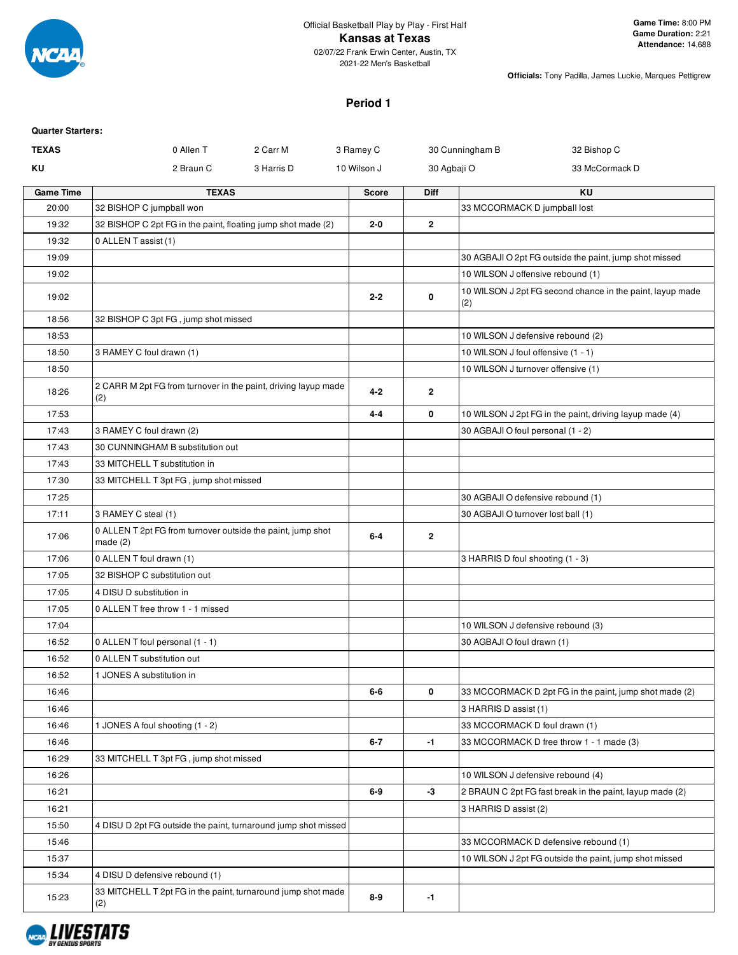

#### **Period 1**

| <b>Quarter Starters:</b> |                                                                         |             |              |                                                                  |
|--------------------------|-------------------------------------------------------------------------|-------------|--------------|------------------------------------------------------------------|
| <b>TEXAS</b>             | 2 Carr M<br>0 Allen T                                                   | 3 Ramey C   |              | 30 Cunningham B<br>32 Bishop C                                   |
| ΚU                       | 2 Braun C<br>3 Harris D                                                 | 10 Wilson J |              | 30 Agbaji O<br>33 McCormack D                                    |
| <b>Game Time</b>         | <b>TEXAS</b>                                                            | Score       | <b>Diff</b>  | KU                                                               |
| 20:00                    | 32 BISHOP C jumpball won                                                |             |              | 33 MCCORMACK D jumpball lost                                     |
| 19:32                    | 32 BISHOP C 2pt FG in the paint, floating jump shot made (2)            | $2 - 0$     | $\mathbf{2}$ |                                                                  |
| 19:32                    | 0 ALLEN T assist (1)                                                    |             |              |                                                                  |
| 19:09                    |                                                                         |             |              | 30 AGBAJI O 2pt FG outside the paint, jump shot missed           |
| 19:02                    |                                                                         |             |              | 10 WILSON J offensive rebound (1)                                |
| 19:02                    |                                                                         | $2 - 2$     | 0            | 10 WILSON J 2pt FG second chance in the paint, layup made<br>(2) |
| 18:56                    | 32 BISHOP C 3pt FG, jump shot missed                                    |             |              |                                                                  |
| 18:53                    |                                                                         |             |              | 10 WILSON J defensive rebound (2)                                |
| 18:50                    | 3 RAMEY C foul drawn (1)                                                |             |              | 10 WILSON J foul offensive (1 - 1)                               |
| 18:50                    |                                                                         |             |              | 10 WILSON J turnover offensive (1)                               |
| 18:26                    | 2 CARR M 2pt FG from turnover in the paint, driving layup made<br>(2)   | $4 - 2$     | $\mathbf{2}$ |                                                                  |
| 17:53                    |                                                                         | $4 - 4$     | 0            | 10 WILSON J 2pt FG in the paint, driving layup made (4)          |
| 17:43                    | 3 RAMEY C foul drawn (2)                                                |             |              | 30 AGBAJI O foul personal (1 - 2)                                |
| 17:43                    | 30 CUNNINGHAM B substitution out                                        |             |              |                                                                  |
| 17:43                    | 33 MITCHELL T substitution in                                           |             |              |                                                                  |
| 17:30                    | 33 MITCHELL T 3pt FG, jump shot missed                                  |             |              |                                                                  |
| 17:25                    |                                                                         |             |              | 30 AGBAJI O defensive rebound (1)                                |
| 17:11                    | 3 RAMEY C steal (1)                                                     |             |              | 30 AGBAJI O turnover lost ball (1)                               |
| 17:06                    | 0 ALLEN T 2pt FG from turnover outside the paint, jump shot<br>made (2) | $6-4$       | $\mathbf{2}$ |                                                                  |
| 17:06                    | 0 ALLEN T foul drawn (1)                                                |             |              | 3 HARRIS D foul shooting (1 - 3)                                 |
| 17:05                    | 32 BISHOP C substitution out                                            |             |              |                                                                  |
| 17:05                    | 4 DISU D substitution in                                                |             |              |                                                                  |
| 17:05                    | 0 ALLEN T free throw 1 - 1 missed                                       |             |              |                                                                  |
| 17:04                    |                                                                         |             |              | 10 WILSON J defensive rebound (3)                                |
| 16:52                    | 0 ALLEN T foul personal (1 - 1)                                         |             |              | 30 AGBAJI O foul drawn (1)                                       |
| 16:52                    | 0 ALLEN T substitution out                                              |             |              |                                                                  |
| 16:52                    | 1 JONES A substitution in                                               |             |              |                                                                  |
| 16:46                    |                                                                         | 6-6         | 0            | 33 MCCORMACK D 2pt FG in the paint, jump shot made (2)           |
| 16:46                    |                                                                         |             |              | 3 HARRIS D assist (1)                                            |
| 16:46                    | 1 JONES A foul shooting (1 - 2)                                         |             |              | 33 MCCORMACK D foul drawn (1)                                    |
| 16:46                    |                                                                         | $6 - 7$     | $-1$         | 33 MCCORMACK D free throw 1 - 1 made (3)                         |
| 16:29                    | 33 MITCHELL T 3pt FG, jump shot missed                                  |             |              |                                                                  |
| 16:26                    |                                                                         |             |              | 10 WILSON J defensive rebound (4)                                |
| 16:21                    |                                                                         | 6-9         | -3           | 2 BRAUN C 2pt FG fast break in the paint, layup made (2)         |
| 16:21                    |                                                                         |             |              | 3 HARRIS D assist (2)                                            |
| 15:50                    | 4 DISU D 2pt FG outside the paint, turnaround jump shot missed          |             |              |                                                                  |
| 15:46                    |                                                                         |             |              | 33 MCCORMACK D defensive rebound (1)                             |
| 15:37                    |                                                                         |             |              | 10 WILSON J 2pt FG outside the paint, jump shot missed           |
| 15:34                    | 4 DISU D defensive rebound (1)                                          |             |              |                                                                  |
| 15:23                    | 33 MITCHELL T 2pt FG in the paint, turnaround jump shot made<br>(2)     | 8-9         | $-1$         |                                                                  |

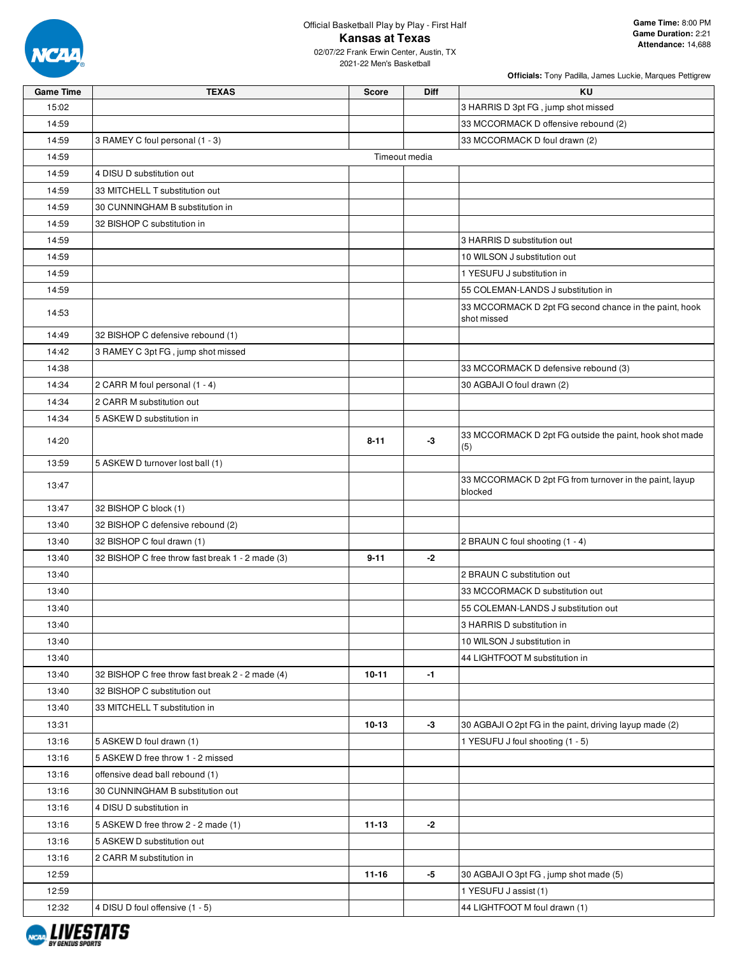

2021-22 Men's Basketball

| <b>Game Time</b> | <b>TEXAS</b>                                     | <b>Score</b>  | Diff | KU                                                                    |
|------------------|--------------------------------------------------|---------------|------|-----------------------------------------------------------------------|
| 15:02            |                                                  |               |      | 3 HARRIS D 3pt FG, jump shot missed                                   |
| 14:59            |                                                  |               |      | 33 MCCORMACK D offensive rebound (2)                                  |
| 14:59            | 3 RAMEY C foul personal (1 - 3)                  |               |      | 33 MCCORMACK D foul drawn (2)                                         |
| 14:59            |                                                  | Timeout media |      |                                                                       |
| 14:59            | 4 DISU D substitution out                        |               |      |                                                                       |
| 14:59            | 33 MITCHELL T substitution out                   |               |      |                                                                       |
| 14:59            | 30 CUNNINGHAM B substitution in                  |               |      |                                                                       |
| 14:59            | 32 BISHOP C substitution in                      |               |      |                                                                       |
| 14:59            |                                                  |               |      | 3 HARRIS D substitution out                                           |
| 14:59            |                                                  |               |      | 10 WILSON J substitution out                                          |
| 14:59            |                                                  |               |      | 1 YESUFU J substitution in                                            |
| 14:59            |                                                  |               |      | 55 COLEMAN-LANDS J substitution in                                    |
| 14:53            |                                                  |               |      | 33 MCCORMACK D 2pt FG second chance in the paint, hook<br>shot missed |
| 14:49            | 32 BISHOP C defensive rebound (1)                |               |      |                                                                       |
| 14:42            | 3 RAMEY C 3pt FG, jump shot missed               |               |      |                                                                       |
| 14:38            |                                                  |               |      | 33 MCCORMACK D defensive rebound (3)                                  |
| 14:34            | 2 CARR M foul personal (1 - 4)                   |               |      | 30 AGBAJI O foul drawn (2)                                            |
| 14:34            | 2 CARR M substitution out                        |               |      |                                                                       |
| 14:34            | 5 ASKEW D substitution in                        |               |      |                                                                       |
| 14:20            |                                                  | $8 - 11$      | $-3$ | 33 MCCORMACK D 2pt FG outside the paint, hook shot made<br>(5)        |
| 13:59            | 5 ASKEW D turnover lost ball (1)                 |               |      |                                                                       |
| 13:47            |                                                  |               |      | 33 MCCORMACK D 2pt FG from turnover in the paint, layup<br>blocked    |
| 13:47            | 32 BISHOP C block (1)                            |               |      |                                                                       |
| 13:40            | 32 BISHOP C defensive rebound (2)                |               |      |                                                                       |
| 13:40            | 32 BISHOP C foul drawn (1)                       |               |      | 2 BRAUN C foul shooting (1 - 4)                                       |
| 13:40            | 32 BISHOP C free throw fast break 1 - 2 made (3) | $9 - 11$      | $-2$ |                                                                       |
| 13:40            |                                                  |               |      | 2 BRAUN C substitution out                                            |
| 13:40            |                                                  |               |      | 33 MCCORMACK D substitution out                                       |
| 13:40            |                                                  |               |      | 55 COLEMAN-LANDS J substitution out                                   |
| 13:40            |                                                  |               |      | 3 HARRIS D substitution in                                            |
| 13:40            |                                                  |               |      | 10 WILSON J substitution in                                           |
| 13:40            |                                                  |               |      | 44 LIGHTFOOT M substitution in                                        |
| 13:40            | 32 BISHOP C free throw fast break 2 - 2 made (4) | $10 - 11$     | $-1$ |                                                                       |
| 13:40            | 32 BISHOP C substitution out                     |               |      |                                                                       |
| 13:40            | 33 MITCHELL T substitution in                    |               |      |                                                                       |
| 13:31            |                                                  | $10 - 13$     | $-3$ | 30 AGBAJI O 2pt FG in the paint, driving layup made (2)               |
| 13:16            | 5 ASKEW D foul drawn (1)                         |               |      | 1 YESUFU J foul shooting (1 - 5)                                      |
| 13:16            | 5 ASKEW D free throw 1 - 2 missed                |               |      |                                                                       |
| 13:16            | offensive dead ball rebound (1)                  |               |      |                                                                       |
| 13:16            | 30 CUNNINGHAM B substitution out                 |               |      |                                                                       |
| 13:16            | 4 DISU D substitution in                         |               |      |                                                                       |
| 13:16            | 5 ASKEW D free throw 2 - 2 made (1)              | $11 - 13$     | -2   |                                                                       |
| 13:16            | 5 ASKEW D substitution out                       |               |      |                                                                       |
| 13:16            | 2 CARR M substitution in                         |               |      |                                                                       |
| 12:59            |                                                  | $11 - 16$     | -5   | 30 AGBAJI O 3pt FG, jump shot made (5)                                |
| 12:59            |                                                  |               |      | 1 YESUFU J assist (1)                                                 |
| 12:32            | 4 DISU D foul offensive (1 - 5)                  |               |      | 44 LIGHTFOOT M foul drawn (1)                                         |

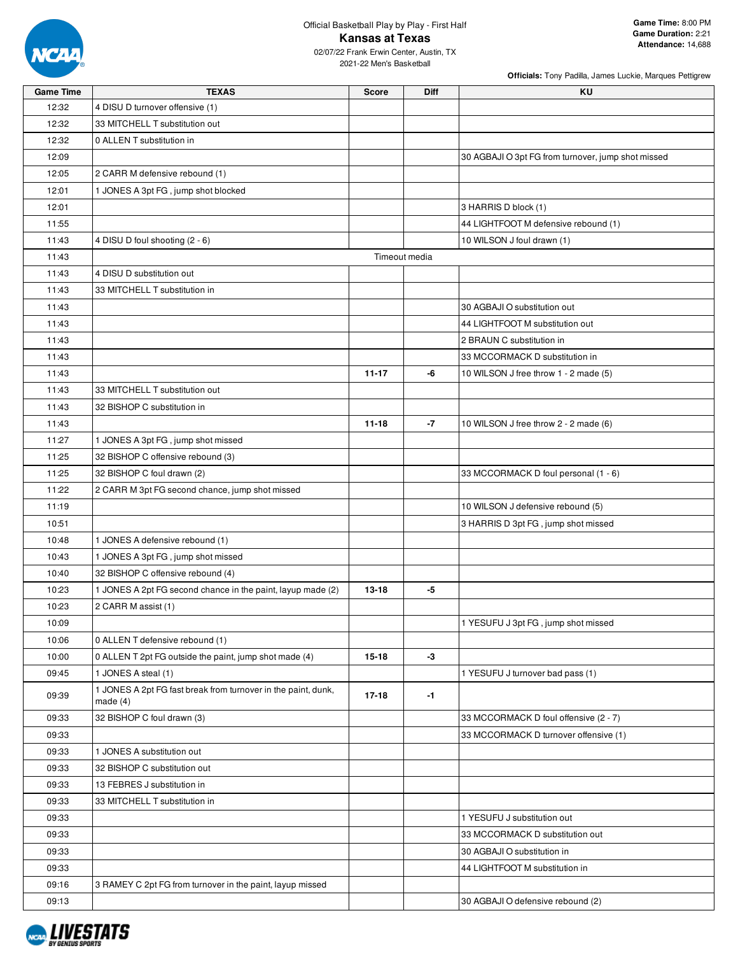

2021-22 Men's Basketball

| <b>Game Time</b> | <b>TEXAS</b>                                                                | Score         | Diff | KU                                                 |
|------------------|-----------------------------------------------------------------------------|---------------|------|----------------------------------------------------|
| 12:32            | 4 DISU D turnover offensive (1)                                             |               |      |                                                    |
| 12:32            | 33 MITCHELL T substitution out                                              |               |      |                                                    |
| 12:32            | 0 ALLEN T substitution in                                                   |               |      |                                                    |
| 12:09            |                                                                             |               |      | 30 AGBAJI O 3pt FG from turnover, jump shot missed |
| 12:05            | 2 CARR M defensive rebound (1)                                              |               |      |                                                    |
| 12:01            | 1 JONES A 3pt FG, jump shot blocked                                         |               |      |                                                    |
| 12:01            |                                                                             |               |      | 3 HARRIS D block (1)                               |
| 11:55            |                                                                             |               |      | 44 LIGHTFOOT M defensive rebound (1)               |
| 11:43            | 4 DISU D foul shooting (2 - 6)                                              |               |      | 10 WILSON J foul drawn (1)                         |
| 11:43            |                                                                             | Timeout media |      |                                                    |
| 11:43            | 4 DISU D substitution out                                                   |               |      |                                                    |
| 11:43            | 33 MITCHELL T substitution in                                               |               |      |                                                    |
| 11:43            |                                                                             |               |      | 30 AGBAJI O substitution out                       |
| 11:43            |                                                                             |               |      | 44 LIGHTFOOT M substitution out                    |
| 11:43            |                                                                             |               |      | 2 BRAUN C substitution in                          |
| 11:43            |                                                                             |               |      | 33 MCCORMACK D substitution in                     |
| 11:43            |                                                                             | $11 - 17$     | -6   |                                                    |
| 11:43            | 33 MITCHELL T substitution out                                              |               |      | 10 WILSON J free throw 1 - 2 made (5)              |
|                  | 32 BISHOP C substitution in                                                 |               |      |                                                    |
| 11:43            |                                                                             |               | $-7$ |                                                    |
| 11:43            |                                                                             | $11 - 18$     |      | 10 WILSON J free throw 2 - 2 made (6)              |
| 11:27            | 1 JONES A 3pt FG, jump shot missed                                          |               |      |                                                    |
| 11:25            | 32 BISHOP C offensive rebound (3)                                           |               |      |                                                    |
| 11:25            | 32 BISHOP C foul drawn (2)                                                  |               |      | 33 MCCORMACK D foul personal (1 - 6)               |
| 11:22            | 2 CARR M 3pt FG second chance, jump shot missed                             |               |      |                                                    |
| 11:19            |                                                                             |               |      | 10 WILSON J defensive rebound (5)                  |
| 10:51            |                                                                             |               |      | 3 HARRIS D 3pt FG, jump shot missed                |
| 10:48            | 1 JONES A defensive rebound (1)                                             |               |      |                                                    |
| 10:43            | 1 JONES A 3pt FG, jump shot missed                                          |               |      |                                                    |
| 10:40            | 32 BISHOP C offensive rebound (4)                                           |               |      |                                                    |
| 10:23            | 1 JONES A 2pt FG second chance in the paint, layup made (2)                 | $13 - 18$     | -5   |                                                    |
| 10:23            | 2 CARR M assist (1)                                                         |               |      |                                                    |
| 10:09            |                                                                             |               |      | 1 YESUFU J 3pt FG, jump shot missed                |
| 10:06            | 0 ALLEN T defensive rebound (1)                                             |               |      |                                                    |
| 10:00            | 0 ALLEN T 2pt FG outside the paint, jump shot made (4)                      | 15-18         | $-3$ |                                                    |
| 09:45            | 1 JONES A steal (1)                                                         |               |      | 1 YESUFU J turnover bad pass (1)                   |
| 09:39            | 1 JONES A 2pt FG fast break from turnover in the paint, dunk,<br>made $(4)$ | 17-18         | $-1$ |                                                    |
| 09:33            | 32 BISHOP C foul drawn (3)                                                  |               |      | 33 MCCORMACK D foul offensive (2 - 7)              |
| 09:33            |                                                                             |               |      | 33 MCCORMACK D turnover offensive (1)              |
| 09:33            | 1 JONES A substitution out                                                  |               |      |                                                    |
| 09:33            | 32 BISHOP C substitution out                                                |               |      |                                                    |
| 09:33            | 13 FEBRES J substitution in                                                 |               |      |                                                    |
| 09:33            | 33 MITCHELL T substitution in                                               |               |      |                                                    |
| 09:33            |                                                                             |               |      | 1 YESUFU J substitution out                        |
| 09:33            |                                                                             |               |      | 33 MCCORMACK D substitution out                    |
| 09:33            |                                                                             |               |      | 30 AGBAJI O substitution in                        |
| 09:33            |                                                                             |               |      | 44 LIGHTFOOT M substitution in                     |
| 09:16            | 3 RAMEY C 2pt FG from turnover in the paint, layup missed                   |               |      |                                                    |
| 09:13            |                                                                             |               |      | 30 AGBAJI O defensive rebound (2)                  |
|                  |                                                                             |               |      |                                                    |

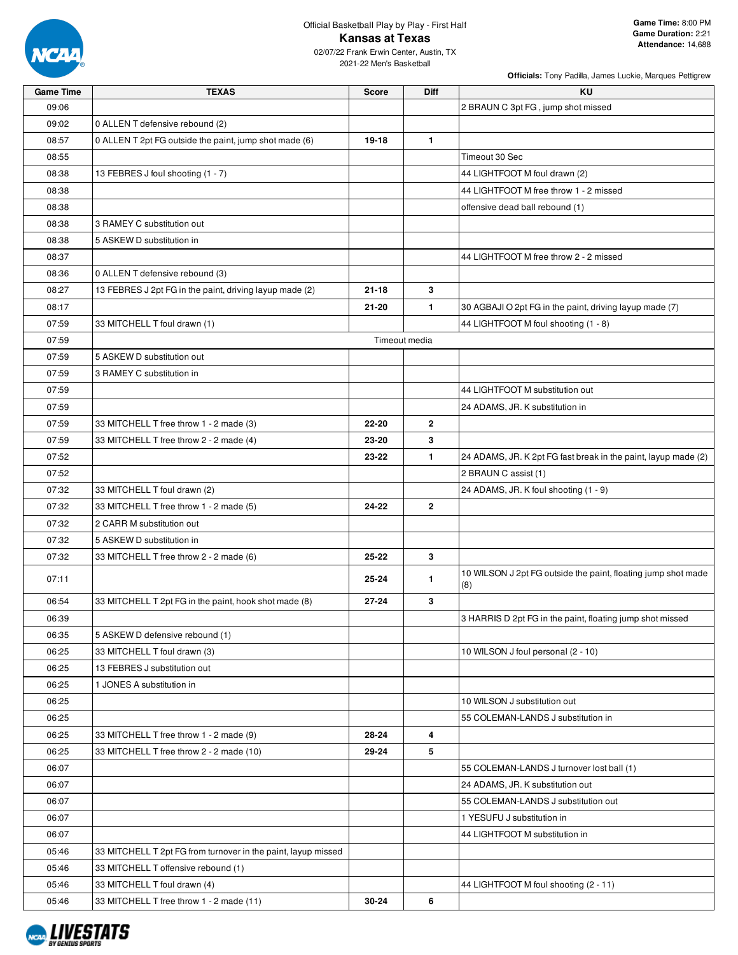

2021-22 Men's Basketball

| <b>Game Time</b> | <b>TEXAS</b>                                                  | <b>Score</b>  | <b>Diff</b>  | KU                                                                   |
|------------------|---------------------------------------------------------------|---------------|--------------|----------------------------------------------------------------------|
| 09:06            |                                                               |               |              | 2 BRAUN C 3pt FG, jump shot missed                                   |
| 09:02            | 0 ALLEN T defensive rebound (2)                               |               |              |                                                                      |
| 08:57            | 0 ALLEN T 2pt FG outside the paint, jump shot made (6)        | 19-18         | $\mathbf{1}$ |                                                                      |
| 08:55            |                                                               |               |              | Timeout 30 Sec                                                       |
| 08:38            | 13 FEBRES J foul shooting (1 - 7)                             |               |              | 44 LIGHTFOOT M foul drawn (2)                                        |
| 08:38            |                                                               |               |              | 44 LIGHTFOOT M free throw 1 - 2 missed                               |
| 08:38            |                                                               |               |              | offensive dead ball rebound (1)                                      |
| 08:38            | 3 RAMEY C substitution out                                    |               |              |                                                                      |
| 08:38            | 5 ASKEW D substitution in                                     |               |              |                                                                      |
| 08:37            |                                                               |               |              | 44 LIGHTFOOT M free throw 2 - 2 missed                               |
| 08:36            | 0 ALLEN T defensive rebound (3)                               |               |              |                                                                      |
| 08:27            | 13 FEBRES J 2pt FG in the paint, driving layup made (2)       | $21 - 18$     | 3            |                                                                      |
| 08:17            |                                                               | $21 - 20$     | 1.           | 30 AGBAJI O 2pt FG in the paint, driving layup made (7)              |
| 07:59            | 33 MITCHELL T foul drawn (1)                                  |               |              | 44 LIGHTFOOT M foul shooting (1 - 8)                                 |
| 07:59            |                                                               | Timeout media |              |                                                                      |
| 07:59            | 5 ASKEW D substitution out                                    |               |              |                                                                      |
| 07:59            | 3 RAMEY C substitution in                                     |               |              |                                                                      |
| 07:59            |                                                               |               |              | 44 LIGHTFOOT M substitution out                                      |
| 07:59            |                                                               |               |              | 24 ADAMS, JR. K substitution in                                      |
| 07:59            | 33 MITCHELL T free throw 1 - 2 made (3)                       | 22-20         | $\mathbf{2}$ |                                                                      |
| 07:59            | 33 MITCHELL T free throw 2 - 2 made (4)                       | 23-20         | 3            |                                                                      |
| 07:52            |                                                               | 23-22         | 1            | 24 ADAMS, JR. K 2pt FG fast break in the paint, layup made (2)       |
| 07:52            |                                                               |               |              | 2 BRAUN C assist (1)                                                 |
| 07:32            | 33 MITCHELL T foul drawn (2)                                  |               |              | 24 ADAMS, JR. K foul shooting (1 - 9)                                |
| 07:32            | 33 MITCHELL T free throw 1 - 2 made (5)                       | 24-22         | $\mathbf{2}$ |                                                                      |
| 07:32            | 2 CARR M substitution out                                     |               |              |                                                                      |
| 07:32            | 5 ASKEW D substitution in                                     |               |              |                                                                      |
| 07:32            | 33 MITCHELL T free throw 2 - 2 made (6)                       | 25-22         | 3            |                                                                      |
| 07:11            |                                                               | 25-24         | 1            | 10 WILSON J 2pt FG outside the paint, floating jump shot made<br>(8) |
| 06:54            | 33 MITCHELL T 2pt FG in the paint, hook shot made (8)         | $27 - 24$     | 3            |                                                                      |
| 06:39            |                                                               |               |              | 3 HARRIS D 2pt FG in the paint, floating jump shot missed            |
| 06:35            | 5 ASKEW D defensive rebound (1)                               |               |              |                                                                      |
| 06:25            | 33 MITCHELL T foul drawn (3)                                  |               |              | 10 WILSON J foul personal (2 - 10)                                   |
| 06:25            | 13 FEBRES J substitution out                                  |               |              |                                                                      |
| 06:25            | 1 JONES A substitution in                                     |               |              |                                                                      |
| 06:25            |                                                               |               |              | 10 WILSON J substitution out                                         |
| 06:25            |                                                               |               |              | 55 COLEMAN-LANDS J substitution in                                   |
| 06:25            | 33 MITCHELL T free throw 1 - 2 made (9)                       | 28-24         | 4            |                                                                      |
| 06:25            | 33 MITCHELL T free throw 2 - 2 made (10)                      | 29-24         | 5            |                                                                      |
| 06:07            |                                                               |               |              | 55 COLEMAN-LANDS J turnover lost ball (1)                            |
| 06:07            |                                                               |               |              | 24 ADAMS, JR. K substitution out                                     |
| 06:07            |                                                               |               |              | 55 COLEMAN-LANDS J substitution out                                  |
| 06:07            |                                                               |               |              | 1 YESUFU J substitution in                                           |
| 06:07            |                                                               |               |              | 44 LIGHTFOOT M substitution in                                       |
| 05:46            | 33 MITCHELL T 2pt FG from turnover in the paint, layup missed |               |              |                                                                      |
| 05:46            | 33 MITCHELL T offensive rebound (1)                           |               |              |                                                                      |
| 05:46            | 33 MITCHELL T foul drawn (4)                                  |               |              | 44 LIGHTFOOT M foul shooting (2 - 11)                                |
| 05:46            | 33 MITCHELL T free throw 1 - 2 made (11)                      | 30-24         | 6            |                                                                      |

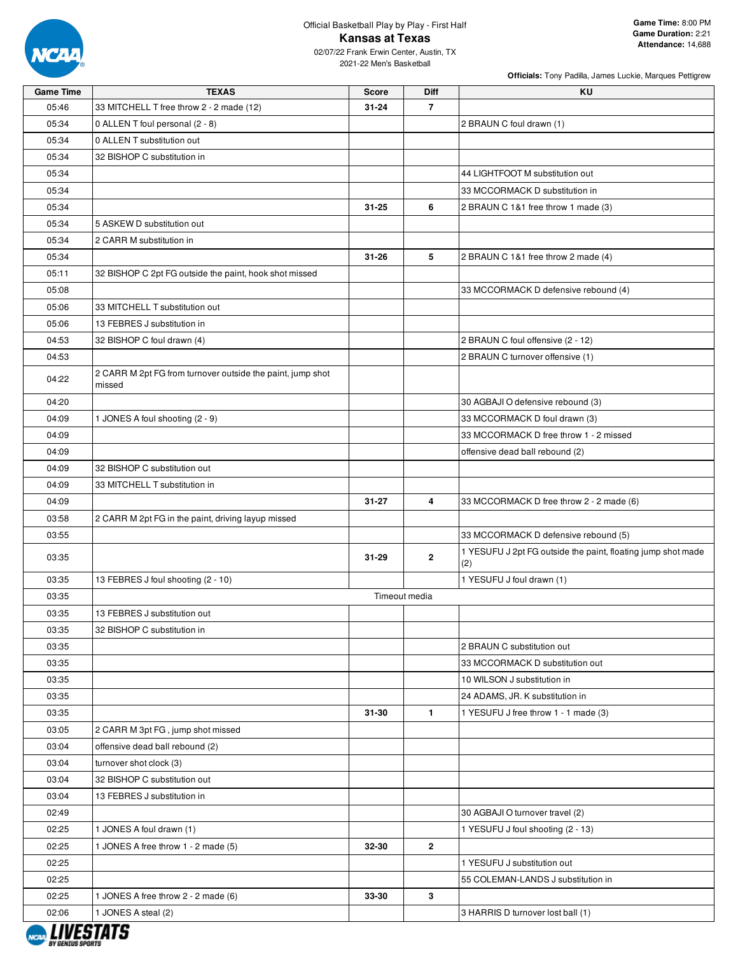

| <b>Game Time</b> | <b>TEXAS</b>                                                         | <b>Score</b> | Diff           | KU                                                           |
|------------------|----------------------------------------------------------------------|--------------|----------------|--------------------------------------------------------------|
| 05:46            | 33 MITCHELL T free throw 2 - 2 made (12)                             | $31 - 24$    | $\overline{7}$ |                                                              |
| 05:34            | 0 ALLEN T foul personal (2 - 8)                                      |              |                | 2 BRAUN C foul drawn (1)                                     |
| 05:34            | 0 ALLEN T substitution out                                           |              |                |                                                              |
| 05:34            | 32 BISHOP C substitution in                                          |              |                |                                                              |
| 05:34            |                                                                      |              |                | 44 LIGHTFOOT M substitution out                              |
| 05:34            |                                                                      |              |                | 33 MCCORMACK D substitution in                               |
| 05:34            |                                                                      | $31 - 25$    | 6              | 2 BRAUN C 1&1 free throw 1 made (3)                          |
| 05:34            | 5 ASKEW D substitution out                                           |              |                |                                                              |
| 05:34            | 2 CARR M substitution in                                             |              |                |                                                              |
| 05:34            |                                                                      | $31 - 26$    | 5              | 2 BRAUN C 1&1 free throw 2 made (4)                          |
| 05:11            | 32 BISHOP C 2pt FG outside the paint, hook shot missed               |              |                |                                                              |
| 05:08            |                                                                      |              |                | 33 MCCORMACK D defensive rebound (4)                         |
|                  |                                                                      |              |                |                                                              |
| 05:06            | 33 MITCHELL T substitution out                                       |              |                |                                                              |
| 05:06            | 13 FEBRES J substitution in                                          |              |                |                                                              |
| 04:53            | 32 BISHOP C foul drawn (4)                                           |              |                | 2 BRAUN C foul offensive (2 - 12)                            |
| 04:53            |                                                                      |              |                | 2 BRAUN C turnover offensive (1)                             |
| 04:22            | 2 CARR M 2pt FG from turnover outside the paint, jump shot<br>missed |              |                |                                                              |
| 04:20            |                                                                      |              |                | 30 AGBAJI O defensive rebound (3)                            |
| 04:09            | 1 JONES A foul shooting (2 - 9)                                      |              |                | 33 MCCORMACK D foul drawn (3)                                |
| 04:09            |                                                                      |              |                | 33 MCCORMACK D free throw 1 - 2 missed                       |
| 04:09            |                                                                      |              |                | offensive dead ball rebound (2)                              |
| 04:09            | 32 BISHOP C substitution out                                         |              |                |                                                              |
| 04:09            | 33 MITCHELL T substitution in                                        |              |                |                                                              |
| 04:09            |                                                                      | $31 - 27$    | $\overline{4}$ | 33 MCCORMACK D free throw 2 - 2 made (6)                     |
| 03:58            | 2 CARR M 2pt FG in the paint, driving layup missed                   |              |                |                                                              |
| 03:55            |                                                                      |              |                | 33 MCCORMACK D defensive rebound (5)                         |
|                  |                                                                      |              |                | 1 YESUFU J 2pt FG outside the paint, floating jump shot made |
| 03:35            |                                                                      | $31 - 29$    | $\overline{2}$ | (2)                                                          |
| 03:35            | 13 FEBRES J foul shooting (2 - 10)                                   |              |                | 1 YESUFU J foul drawn (1)                                    |
| 03:35            |                                                                      |              | Timeout media  |                                                              |
| 03:35            | 13 FEBRES J substitution out                                         |              |                |                                                              |
| 03:35            | 32 BISHOP C substitution in                                          |              |                |                                                              |
| 03:35            |                                                                      |              |                | 2 BRAUN C substitution out                                   |
| 03:35            |                                                                      |              |                | 33 MCCORMACK D substitution out                              |
| 03:35            |                                                                      |              |                | 10 WILSON J substitution in                                  |
| 03:35            |                                                                      |              |                | 24 ADAMS, JR. K substitution in                              |
| 03:35            |                                                                      | $31 - 30$    | $\mathbf{1}$   | 1 YESUFU J free throw 1 - 1 made (3)                         |
| 03:05            | 2 CARR M 3pt FG, jump shot missed                                    |              |                |                                                              |
| 03:04            | offensive dead ball rebound (2)                                      |              |                |                                                              |
| 03:04            | turnover shot clock (3)                                              |              |                |                                                              |
| 03:04            | 32 BISHOP C substitution out                                         |              |                |                                                              |
| 03:04            | 13 FEBRES J substitution in                                          |              |                |                                                              |
| 02:49            |                                                                      |              |                | 30 AGBAJI O turnover travel (2)                              |
| 02:25            | 1 JONES A foul drawn (1)                                             |              |                | 1 YESUFU J foul shooting (2 - 13)                            |
| 02:25            | 1 JONES A free throw 1 - 2 made (5)                                  | 32-30        | $\overline{2}$ |                                                              |
| 02:25            |                                                                      |              |                | 1 YESUFU J substitution out                                  |
| 02:25            |                                                                      |              |                | 55 COLEMAN-LANDS J substitution in                           |
| 02:25            | 1 JONES A free throw 2 - 2 made (6)                                  | 33-30        | $\mathbf{3}$   |                                                              |
| 02:06            | 1 JONES A steal (2)                                                  |              |                | 3 HARRIS D turnover lost ball (1)                            |
|                  |                                                                      |              |                |                                                              |

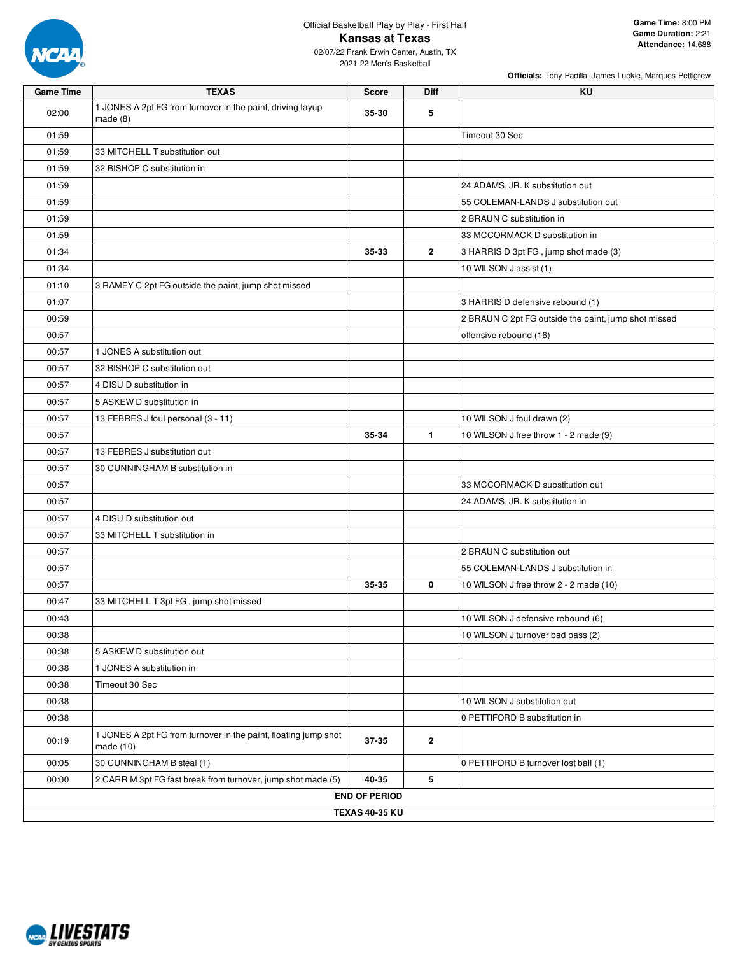

2021-22 Men's Basketball

| <b>Officials:</b> Tony Padilla, James Luckie, Marques Pettigrew |  |  |  |
|-----------------------------------------------------------------|--|--|--|
|                                                                 |  |  |  |

| <b>Game Time</b> | <b>TEXAS</b>                                                                   | <b>Score</b>          | Diff         | <b>KU</b>                                            |
|------------------|--------------------------------------------------------------------------------|-----------------------|--------------|------------------------------------------------------|
| 02:00            | 1 JONES A 2pt FG from turnover in the paint, driving layup<br>made(8)          | 35-30                 | 5            |                                                      |
| 01:59            |                                                                                |                       |              | Timeout 30 Sec                                       |
| 01:59            | 33 MITCHELL T substitution out                                                 |                       |              |                                                      |
| 01:59            | 32 BISHOP C substitution in                                                    |                       |              |                                                      |
| 01:59            |                                                                                |                       |              | 24 ADAMS, JR. K substitution out                     |
| 01:59            |                                                                                |                       |              | 55 COLEMAN-LANDS J substitution out                  |
| 01:59            |                                                                                |                       |              | 2 BRAUN C substitution in                            |
| 01:59            |                                                                                |                       |              | 33 MCCORMACK D substitution in                       |
| 01:34            |                                                                                | 35-33                 | $\mathbf{2}$ | 3 HARRIS D 3pt FG, jump shot made (3)                |
| 01:34            |                                                                                |                       |              | 10 WILSON J assist (1)                               |
| 01:10            | 3 RAMEY C 2pt FG outside the paint, jump shot missed                           |                       |              |                                                      |
| 01:07            |                                                                                |                       |              | 3 HARRIS D defensive rebound (1)                     |
| 00:59            |                                                                                |                       |              | 2 BRAUN C 2pt FG outside the paint, jump shot missed |
| 00:57            |                                                                                |                       |              | offensive rebound (16)                               |
| 00:57            | 1 JONES A substitution out                                                     |                       |              |                                                      |
| 00:57            | 32 BISHOP C substitution out                                                   |                       |              |                                                      |
| 00:57            | 4 DISU D substitution in                                                       |                       |              |                                                      |
| 00:57            | 5 ASKEW D substitution in                                                      |                       |              |                                                      |
| 00:57            | 13 FEBRES J foul personal (3 - 11)                                             |                       |              | 10 WILSON J foul drawn (2)                           |
| 00:57            |                                                                                | 35-34                 | $\mathbf{1}$ | 10 WILSON J free throw 1 - 2 made (9)                |
| 00:57            | 13 FEBRES J substitution out                                                   |                       |              |                                                      |
| 00:57            | 30 CUNNINGHAM B substitution in                                                |                       |              |                                                      |
| 00:57            |                                                                                |                       |              | 33 MCCORMACK D substitution out                      |
| 00:57            |                                                                                |                       |              | 24 ADAMS, JR. K substitution in                      |
| 00:57            | 4 DISU D substitution out                                                      |                       |              |                                                      |
| 00:57            | 33 MITCHELL T substitution in                                                  |                       |              |                                                      |
| 00:57            |                                                                                |                       |              | 2 BRAUN C substitution out                           |
| 00:57            |                                                                                |                       |              | 55 COLEMAN-LANDS J substitution in                   |
| 00:57            |                                                                                | 35-35                 | 0            | 10 WILSON J free throw 2 - 2 made (10)               |
| 00:47            | 33 MITCHELL T 3pt FG, jump shot missed                                         |                       |              |                                                      |
| 00:43            |                                                                                |                       |              | 10 WILSON J defensive rebound (6)                    |
| 00:38            |                                                                                |                       |              | 10 WILSON J turnover bad pass (2)                    |
| 00:38            | 5 ASKEW D substitution out                                                     |                       |              |                                                      |
| 00:38            | 1 JONES A substitution in                                                      |                       |              |                                                      |
| 00:38            | Timeout 30 Sec                                                                 |                       |              |                                                      |
| 00:38            |                                                                                |                       |              | 10 WILSON J substitution out                         |
| 00:38            |                                                                                |                       |              | 0 PETTIFORD B substitution in                        |
| 00:19            | 1 JONES A 2pt FG from turnover in the paint, floating jump shot<br>made $(10)$ | 37-35                 | $\mathbf{2}$ |                                                      |
| 00:05            | 30 CUNNINGHAM B steal (1)                                                      |                       |              | 0 PETTIFORD B turnover lost ball (1)                 |
| 00:00            | 2 CARR M 3pt FG fast break from turnover, jump shot made (5)                   | 40-35                 | 5            |                                                      |
|                  |                                                                                | <b>END OF PERIOD</b>  |              |                                                      |
|                  |                                                                                | <b>TEXAS 40-35 KU</b> |              |                                                      |
|                  |                                                                                |                       |              |                                                      |

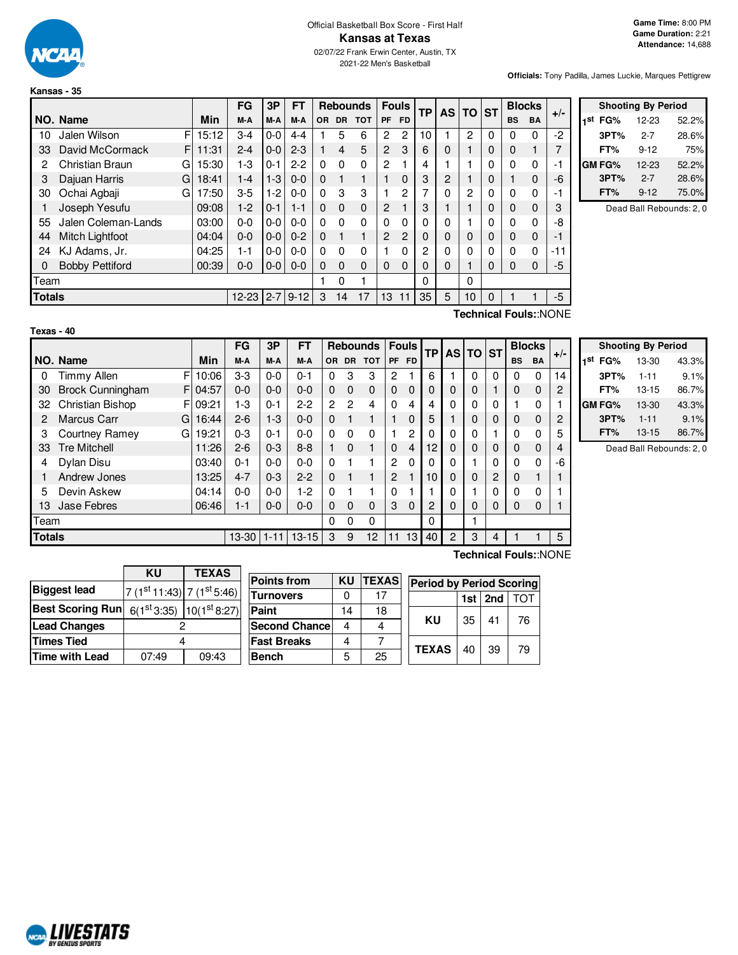

#### Official Basketball Box Score - First Half **Kansas at Texas** 02/07/22 Frank Erwin Center, Austin, TX 2021-22 Men's Basketball

**Officials:** Tony Padilla, James Luckie, Marques Pettigrew

|               |                        |   |       | FG        | 3P      | FΤ       |          |                | <b>Rebounds</b> |           | <b>Fouls</b> | <b>TP</b> | <b>AS</b> | <b>TO</b> | <b>ST</b> | <b>Blocks</b> |              | $+/-$ |
|---------------|------------------------|---|-------|-----------|---------|----------|----------|----------------|-----------------|-----------|--------------|-----------|-----------|-----------|-----------|---------------|--------------|-------|
|               | NO. Name               |   | Min   | M-A       | M-A     | M-A      | OR.      | <b>DR</b>      | <b>TOT</b>      | <b>PF</b> | <b>FD</b>    |           |           |           |           | <b>BS</b>     | <b>BA</b>    |       |
| 10            | Jalen Wilson           | F | 15:12 | 3-4       | $0-0$   | $4 - 4$  |          | 5              | 6               | 2         | 2            | 10        |           | 2         | $\Omega$  |               | 0            | $-2$  |
| 33            | David McCormack        | F | 11:31 | $2 - 4$   | $0 - 0$ | $2 - 3$  |          | $\overline{4}$ | 5               | 2         | 3            | 6         | 0         |           | 0         | 0             |              |       |
| 2             | Christian Braun        | G | 15:30 | 1-3       | $0 - 1$ | $2 - 2$  | 0        | 0              | 0               | 2         |              | 4         |           |           |           |               | 0            |       |
| 3             | Dajuan Harris          | G | 18:41 | $1 - 4$   | $1-3$   | $0 - 0$  | $\Omega$ |                | 1               |           | 0            | 3         | 2         |           | 0         |               | $\mathbf 0$  | -6    |
| 30            | Ochai Agbaji           | G | 17:50 | 3-5       | $1 - 2$ | $0 - 0$  | $\Omega$ | 3              | 3               |           | 2            |           | 0         | 2         | $\Omega$  |               | 0            |       |
|               | Joseph Yesufu          |   | 09:08 | $1-2$     | $0 - 1$ | 1-1      | $\Omega$ | 0              | $\mathbf 0$     | 2         |              | 3         |           |           | 0         | 0             | $\mathbf 0$  |       |
| 55            | Jalen Coleman-Lands    |   | 03:00 | $0-0$     | $0-0$   | $0 - 0$  | $\Omega$ | $\Omega$       | 0               | 0         | $\Omega$     | $\Omega$  | 0         |           | $\Omega$  |               | 0            | -8    |
| 44            | <b>Mitch Lightfoot</b> |   | 04:04 | 0-0       | $0-0$   | $0 - 2$  | $\Omega$ |                | 1               | 2         | 2            | 0         | $\Omega$  | 0         | $\Omega$  | $\Omega$      | $\mathbf{0}$ |       |
| 24            | KJ Adams, Jr.          |   | 04:25 | 1-1       | $0-0$   | $0-0$    | 0        | 0              | 0               |           | 0            | 2         | 0         |           | $\Omega$  | $\Omega$      | 0            | -11   |
| 0             | <b>Bobby Pettiford</b> |   | 00:39 | 0-0       | $0-0$   | $0 - 0$  | $\Omega$ | 0              | 0               | 0         | 0            | $\Omega$  | 0         |           | 0         | $\Omega$      | $\mathbf 0$  | -5    |
| Team          |                        |   |       |           |         |          |          | 0              | 1               |           |              | $\Omega$  |           | 0         |           |               |              |       |
| <b>Totals</b> |                        |   |       | 12-23 2-7 |         | $9 - 12$ | 3        | 14             | 17              | 13        | 11           | 35        | 5         | 10        | $\Omega$  |               |              | $-5$  |
|               | $\cdots$<br>-<br>-     |   |       |           |         |          |          |                |                 |           |              |           |           |           |           |               |              |       |

|     | <b>Shooting By Period</b> |          |       |  |  |  |  |  |
|-----|---------------------------|----------|-------|--|--|--|--|--|
| 1st | FG%                       | 12-23    | 52.2% |  |  |  |  |  |
|     | 3PT%                      | $2 - 7$  | 28.6% |  |  |  |  |  |
|     | FT%                       | $9 - 12$ | 75%   |  |  |  |  |  |
|     | <b>GM FG%</b>             | 12-23    | 52.2% |  |  |  |  |  |
|     | 3PT%                      | $2 - 7$  | 28.6% |  |  |  |  |  |
|     | FT%                       | $9 - 12$ | 75.0% |  |  |  |  |  |

Dead Ball Rebounds: 2, 0

| <br>× |  |  |
|-------|--|--|
|       |  |  |
|       |  |  |

**Technical Fouls:**:NONE

|               |                              |       | FG        | 3P       | FT        |           |                | <b>Rebounds</b> |                | <b>Fouls</b>   | <b>TP</b> |          | $AS$ TO ST |   |             | <b>Blocks</b> | $+/-$ |
|---------------|------------------------------|-------|-----------|----------|-----------|-----------|----------------|-----------------|----------------|----------------|-----------|----------|------------|---|-------------|---------------|-------|
|               | NO. Name                     | Min   | M-A       | M-A      | M-A       | <b>OR</b> |                | DR TOT          | PF             | FD.            |           |          |            |   | <b>BS</b>   | <b>BA</b>     |       |
| 0             | F<br><b>Timmy Allen</b>      | 10:06 | $3-3$     | $0 - 0$  | $0 - 1$   | 0         | 3              | 3               | 2              |                | 6         |          | 0          | 0 | 0           | 0             | 14    |
| 30            | <b>Brock Cunningham</b><br>F | 04:57 | $0 - 0$   | $0 - 0$  | $0 - 0$   | $\Omega$  | $\Omega$       | $\Omega$        | $\mathbf 0$    | $\Omega$       | 0         | 0        | 0          |   | 0           | $\Omega$      | 2     |
| 32            | Christian Bishop<br>F        | 09:21 | 1-3       | $0 - 1$  | $2 - 2$   | 2         | $\overline{c}$ | 4               | 0              | 4              |           | 0        | 0          | 0 |             | 0             |       |
| 2             | <b>Marcus Carr</b><br>G      | 16:44 | $2 - 6$   | $1-3$    | $0 - 0$   | $\Omega$  | 1              |                 |                | $\mathbf 0$    | 5         |          |            | 0 | $\mathbf 0$ | $\mathbf 0$   | 2     |
| 3             | Courtney Ramey<br>G          | 19:21 | $0 - 3$   | $0 - 1$  | $0 - 0$   | $\Omega$  | $\Omega$       | 0               |                | $\overline{c}$ |           | 0        |            |   | 0           | 0             | 5     |
| 33            | <b>Tre Mitchell</b>          | 11:26 | $2 - 6$   | $0 - 3$  | $8 - 8$   |           | $\Omega$       |                 | $\Omega$       | $\overline{4}$ | 12        | $\Omega$ |            | 0 | 0           | $\Omega$      | 4     |
| 4             | Dylan Disu                   | 03:40 | $0 - 1$   | $0 - 0$  | $0 - 0$   | $\Omega$  |                |                 | $\overline{2}$ | $\mathbf 0$    |           |          |            | 0 | 0           | $\mathbf 0$   | -6    |
|               | Andrew Jones                 | 13:25 | $4 - 7$   | $0 - 3$  | $2 - 2$   | $\Omega$  |                |                 | 2              |                | 10        | $\Omega$ | $\Omega$   | 2 | $\mathbf 0$ |               |       |
| 5             | Devin Askew                  | 04:14 | $0 - 0$   | $0 - 0$  | 1-2       | $\Omega$  |                |                 | 0              |                |           | U        |            | 0 | 0           | 0             |       |
| 13            | Jase Febres                  | 06:46 | $1 - 1$   | $0 - 0$  | $0 - 0$   | $\Omega$  | $\Omega$       | $\Omega$        | 3              | $\Omega$       | 2         | $\Omega$ |            | 0 | 0           | $\Omega$      |       |
| Team          |                              |       |           |          |           | 0         | $\Omega$       | 0               |                |                | 0         |          |            |   |             |               |       |
| <b>Totals</b> |                              |       | $13 - 30$ | $1 - 11$ | $13 - 15$ | 3         | 9              | 12              | 11             | 13             | 40        | 2        | 3          | 4 |             |               | 5     |

|     | <b>Shooting By Period</b> |           |       |  |  |  |  |  |
|-----|---------------------------|-----------|-------|--|--|--|--|--|
| 1st | FG%                       | 13-30     | 43.3% |  |  |  |  |  |
|     | 3PT%                      | $1 - 11$  | 9.1%  |  |  |  |  |  |
|     | FT%                       | $13 - 15$ | 86.7% |  |  |  |  |  |
|     | GM FG%                    | 13-30     | 43.3% |  |  |  |  |  |
|     | 3PT%                      | $1 - 11$  | 9.1%  |  |  |  |  |  |
|     | FT%                       | $13 - 15$ | 86.7% |  |  |  |  |  |

Dead Ball Rebounds: 2, 0

|                         | <b>KU</b>                   | <b>TEXAS</b>                       |  |  |  |  |
|-------------------------|-----------------------------|------------------------------------|--|--|--|--|
| <b>Biggest lead</b>     | $7(1st11:43)$ 7 $(1st5:46)$ |                                    |  |  |  |  |
| <b>Best Scoring Run</b> |                             | $6(1^{st}3:35)$ 10( $1^{st}8:27$ ) |  |  |  |  |
| <b>Lead Changes</b>     |                             |                                    |  |  |  |  |
| <b>Times Tied</b>       |                             |                                    |  |  |  |  |
| Time with Lead          | 07:49                       | 09:43                              |  |  |  |  |

| <b>Points from</b>   | KU | <b>TEXAS</b> |
|----------------------|----|--------------|
| <b>Turnovers</b>     |    | 17           |
| Paint                | 14 | 18           |
| <b>Second Chance</b> |    |              |
| <b>Fast Breaks</b>   |    |              |
| <b>Bench</b>         | 5  | 25           |
|                      |    |              |

**Technical Fouls:**:NONE

| <b>Period by Period Scoring</b> |    |                 |            |  |  |  |  |  |
|---------------------------------|----|-----------------|------------|--|--|--|--|--|
|                                 |    | 1st $ $ 2nd $ $ | <b>TOT</b> |  |  |  |  |  |
| κu                              | 35 | 41              | 76         |  |  |  |  |  |
| <b>TEXAS</b>                    | 40 | 39              | 79         |  |  |  |  |  |

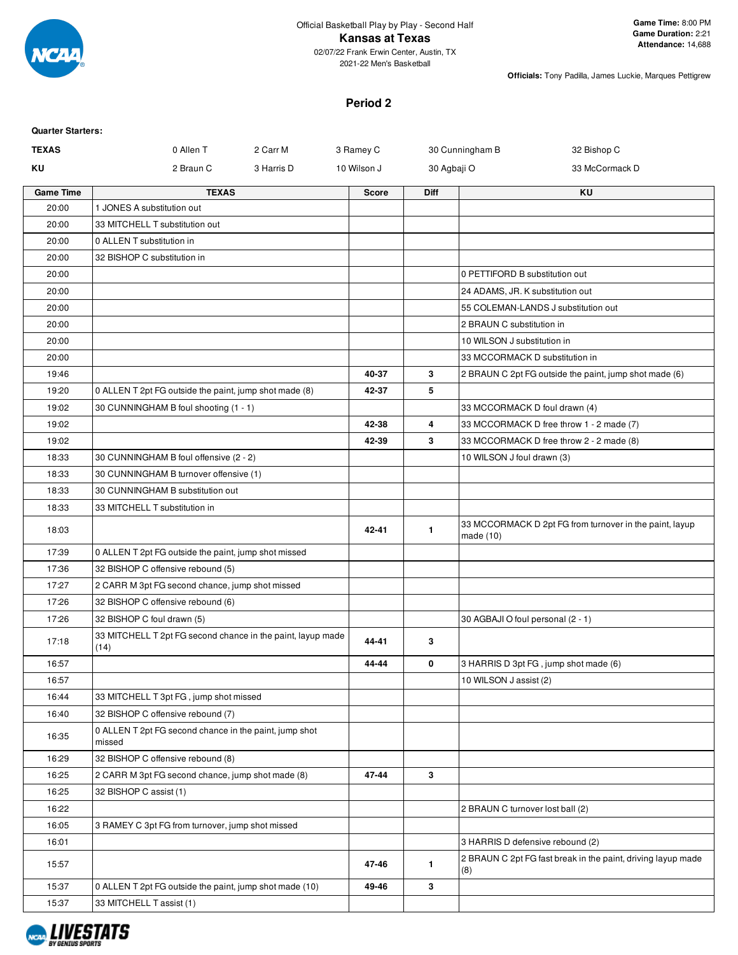

2021-22 Men's Basketball

**Officials:** Tony Padilla, James Luckie, Marques Pettigrew

## **Period 2**

| <b>Quarter Starters:</b> |                                                                     |              |              |                                                                      |
|--------------------------|---------------------------------------------------------------------|--------------|--------------|----------------------------------------------------------------------|
| <b>TEXAS</b>             | 0 Allen T<br>2 Carr M                                               | 3 Ramey C    |              | 30 Cunningham B<br>32 Bishop C                                       |
| ΚU                       | 2 Braun C<br>3 Harris D                                             | 10 Wilson J  | 30 Agbaji O  | 33 McCormack D                                                       |
| <b>Game Time</b>         | <b>TEXAS</b>                                                        | <b>Score</b> | <b>Diff</b>  | ΚU                                                                   |
| 20:00                    | 1 JONES A substitution out                                          |              |              |                                                                      |
| 20:00                    | 33 MITCHELL T substitution out                                      |              |              |                                                                      |
| 20:00                    | 0 ALLEN T substitution in                                           |              |              |                                                                      |
| 20:00                    | 32 BISHOP C substitution in                                         |              |              |                                                                      |
| 20:00                    |                                                                     |              |              | 0 PETTIFORD B substitution out                                       |
| 20:00                    |                                                                     |              |              | 24 ADAMS, JR. K substitution out                                     |
| 20:00                    |                                                                     |              |              | 55 COLEMAN-LANDS J substitution out                                  |
| 20:00                    |                                                                     |              |              | 2 BRAUN C substitution in                                            |
| 20:00                    |                                                                     |              |              | 10 WILSON J substitution in                                          |
| 20:00                    |                                                                     |              |              | 33 MCCORMACK D substitution in                                       |
| 19:46                    |                                                                     | 40-37        | 3            | 2 BRAUN C 2pt FG outside the paint, jump shot made (6)               |
| 19:20                    | 0 ALLEN T 2pt FG outside the paint, jump shot made (8)              | 42-37        | 5            |                                                                      |
| 19:02                    | 30 CUNNINGHAM B foul shooting (1 - 1)                               |              |              | 33 MCCORMACK D foul drawn (4)                                        |
| 19:02                    |                                                                     | 42-38        | 4            | 33 MCCORMACK D free throw 1 - 2 made (7)                             |
| 19:02                    |                                                                     | 42-39        | 3            | 33 MCCORMACK D free throw 2 - 2 made (8)                             |
| 18:33                    | 30 CUNNINGHAM B foul offensive (2 - 2)                              |              |              | 10 WILSON J foul drawn (3)                                           |
| 18:33                    | 30 CUNNINGHAM B turnover offensive (1)                              |              |              |                                                                      |
| 18:33                    | 30 CUNNINGHAM B substitution out                                    |              |              |                                                                      |
| 18:33                    | 33 MITCHELL T substitution in                                       |              |              |                                                                      |
| 18:03                    |                                                                     | 42-41        | 1            | 33 MCCORMACK D 2pt FG from turnover in the paint, layup<br>made (10) |
| 17:39                    | 0 ALLEN T 2pt FG outside the paint, jump shot missed                |              |              |                                                                      |
| 17:36                    | 32 BISHOP C offensive rebound (5)                                   |              |              |                                                                      |
| 17:27                    | 2 CARR M 3pt FG second chance, jump shot missed                     |              |              |                                                                      |
| 17:26                    | 32 BISHOP C offensive rebound (6)                                   |              |              |                                                                      |
| 17:26                    | 32 BISHOP C foul drawn (5)                                          |              |              | 30 AGBAJI O foul personal (2 - 1)                                    |
| 17:18                    | 33 MITCHELL T 2pt FG second chance in the paint, layup made<br>(14) | 44-41        | 3            |                                                                      |
| 16:57                    |                                                                     | 44-44        | 0            | 3 HARRIS D 3pt FG, jump shot made (6)                                |
| 16:57                    |                                                                     |              |              | 10 WILSON J assist (2)                                               |
| 16:44                    | 33 MITCHELL T 3pt FG, jump shot missed                              |              |              |                                                                      |
| 16:40                    | 32 BISHOP C offensive rebound (7)                                   |              |              |                                                                      |
| 16:35                    | 0 ALLEN T 2pt FG second chance in the paint, jump shot<br>missed    |              |              |                                                                      |
| 16:29                    | 32 BISHOP C offensive rebound (8)                                   |              |              |                                                                      |
| 16:25                    | 2 CARR M 3pt FG second chance, jump shot made (8)                   | 47-44        | 3            |                                                                      |
| 16:25                    | 32 BISHOP C assist (1)                                              |              |              |                                                                      |
| 16:22                    |                                                                     |              |              | 2 BRAUN C turnover lost ball (2)                                     |
| 16:05                    | 3 RAMEY C 3pt FG from turnover, jump shot missed                    |              |              |                                                                      |
| 16:01                    |                                                                     |              |              | 3 HARRIS D defensive rebound (2)                                     |
| 15:57                    |                                                                     | 47-46        | $\mathbf{1}$ | 2 BRAUN C 2pt FG fast break in the paint, driving layup made<br>(8)  |
| 15:37                    | 0 ALLEN T 2pt FG outside the paint, jump shot made (10)             | 49-46        | 3            |                                                                      |
| 15:37                    | 33 MITCHELL T assist (1)                                            |              |              |                                                                      |

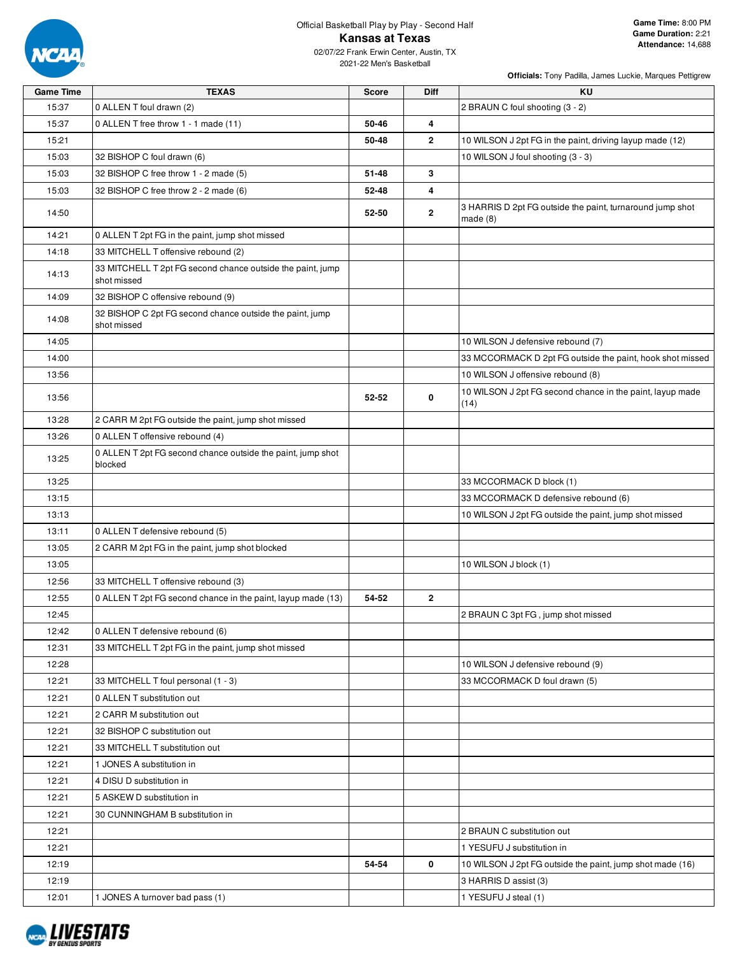

2021-22 Men's Basketball

| <b>Game Time</b> | <b>TEXAS</b>                                                              | <b>Score</b> | Diff         | KU                                                                |
|------------------|---------------------------------------------------------------------------|--------------|--------------|-------------------------------------------------------------------|
| 15:37            | 0 ALLEN T foul drawn (2)                                                  |              |              | 2 BRAUN C foul shooting (3 - 2)                                   |
| 15:37            | 0 ALLEN T free throw 1 - 1 made (11)                                      | 50-46        | 4            |                                                                   |
| 15:21            |                                                                           | 50-48        | 2            | 10 WILSON J 2pt FG in the paint, driving layup made (12)          |
| 15:03            | 32 BISHOP C foul drawn (6)                                                |              |              | 10 WILSON J foul shooting (3 - 3)                                 |
| 15:03            | 32 BISHOP C free throw 1 - 2 made (5)                                     | 51-48        | 3            |                                                                   |
| 15:03            | 32 BISHOP C free throw 2 - 2 made (6)                                     | 52-48        | 4            |                                                                   |
| 14:50            |                                                                           | 52-50        | $\mathbf{2}$ | 3 HARRIS D 2pt FG outside the paint, turnaround jump shot         |
|                  |                                                                           |              |              | made $(8)$                                                        |
| 14:21            | 0 ALLEN T 2pt FG in the paint, jump shot missed                           |              |              |                                                                   |
| 14:18            | 33 MITCHELL T offensive rebound (2)                                       |              |              |                                                                   |
| 14:13            | 33 MITCHELL T 2pt FG second chance outside the paint, jump<br>shot missed |              |              |                                                                   |
| 14:09            | 32 BISHOP C offensive rebound (9)                                         |              |              |                                                                   |
| 14:08            | 32 BISHOP C 2pt FG second chance outside the paint, jump<br>shot missed   |              |              |                                                                   |
| 14:05            |                                                                           |              |              | 10 WILSON J defensive rebound (7)                                 |
| 14:00            |                                                                           |              |              | 33 MCCORMACK D 2pt FG outside the paint, hook shot missed         |
| 13:56            |                                                                           |              |              | 10 WILSON J offensive rebound (8)                                 |
| 13:56            |                                                                           | 52-52        | 0            | 10 WILSON J 2pt FG second chance in the paint, layup made<br>(14) |
| 13:28            | 2 CARR M 2pt FG outside the paint, jump shot missed                       |              |              |                                                                   |
| 13:26            | 0 ALLEN T offensive rebound (4)                                           |              |              |                                                                   |
| 13:25            | 0 ALLEN T 2pt FG second chance outside the paint, jump shot<br>blocked    |              |              |                                                                   |
| 13:25            |                                                                           |              |              | 33 MCCORMACK D block (1)                                          |
| 13:15            |                                                                           |              |              | 33 MCCORMACK D defensive rebound (6)                              |
| 13:13            |                                                                           |              |              | 10 WILSON J 2pt FG outside the paint, jump shot missed            |
| 13:11            | 0 ALLEN T defensive rebound (5)                                           |              |              |                                                                   |
| 13:05            | 2 CARR M 2pt FG in the paint, jump shot blocked                           |              |              |                                                                   |
| 13:05            |                                                                           |              |              | 10 WILSON J block (1)                                             |
| 12:56            | 33 MITCHELL T offensive rebound (3)                                       |              |              |                                                                   |
| 12:55            | 0 ALLEN T 2pt FG second chance in the paint, layup made (13)              | 54-52        | $\mathbf{2}$ |                                                                   |
| 12:45            |                                                                           |              |              | 2 BRAUN C 3pt FG, jump shot missed                                |
| 12:42            | 0 ALLEN T defensive rebound (6)                                           |              |              |                                                                   |
| 12:31            | 33 MITCHELL T 2pt FG in the paint, jump shot missed                       |              |              |                                                                   |
| 12:28            |                                                                           |              |              | 10 WILSON J defensive rebound (9)                                 |
| 12:21            | 33 MITCHELL T foul personal (1 - 3)                                       |              |              | 33 MCCORMACK D foul drawn (5)                                     |
| 12:21            | 0 ALLEN T substitution out                                                |              |              |                                                                   |
| 12:21            | 2 CARR M substitution out                                                 |              |              |                                                                   |
| 12:21            | 32 BISHOP C substitution out                                              |              |              |                                                                   |
| 12:21            | 33 MITCHELL T substitution out                                            |              |              |                                                                   |
| 12:21            | 1 JONES A substitution in                                                 |              |              |                                                                   |
| 12:21            | 4 DISU D substitution in                                                  |              |              |                                                                   |
| 12:21            | 5 ASKEW D substitution in                                                 |              |              |                                                                   |
| 12:21            | 30 CUNNINGHAM B substitution in                                           |              |              |                                                                   |
| 12:21            |                                                                           |              |              | 2 BRAUN C substitution out                                        |
| 12:21            |                                                                           |              |              | 1 YESUFU J substitution in                                        |
| 12:19            |                                                                           | 54-54        | 0            | 10 WILSON J 2pt FG outside the paint, jump shot made (16)         |
| 12:19            |                                                                           |              |              | 3 HARRIS D assist (3)                                             |
| 12:01            | 1 JONES A turnover bad pass (1)                                           |              |              | 1 YESUFU J steal (1)                                              |

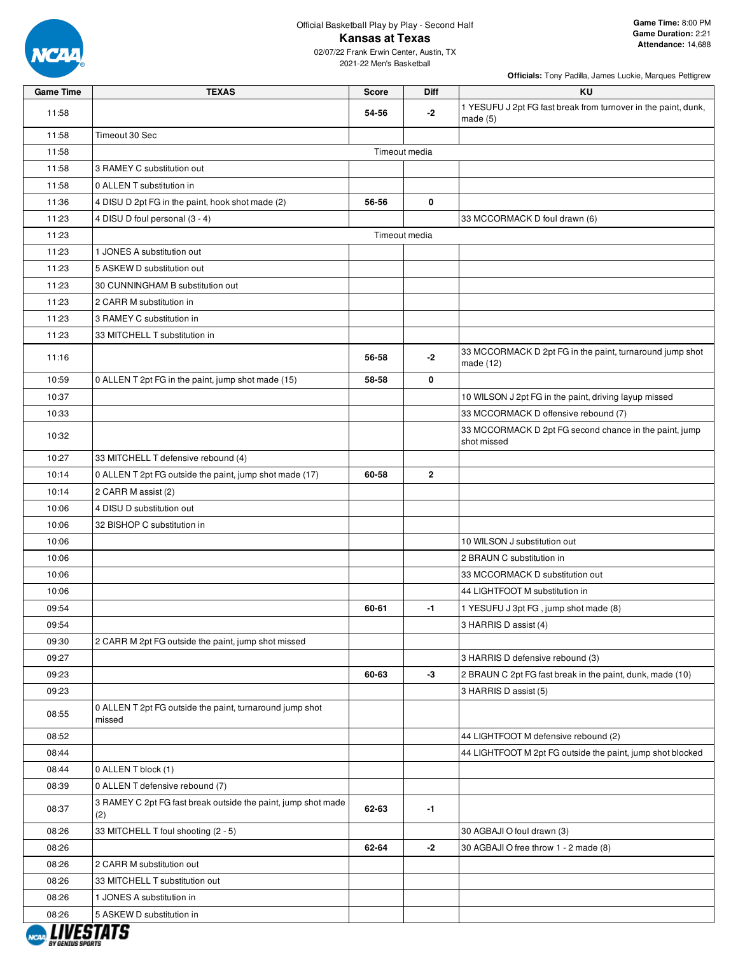

## Official Basketball Play by Play - Second Half **Kansas at Texas**

| <b>Game Time</b> | <b>TEXAS</b>                                                         | <b>Score</b>  | Diff           | KU                                                                           |
|------------------|----------------------------------------------------------------------|---------------|----------------|------------------------------------------------------------------------------|
| 11:58            |                                                                      | 54-56         | -2             | 1 YESUFU J 2pt FG fast break from turnover in the paint, dunk,<br>made $(5)$ |
| 11:58            | Timeout 30 Sec                                                       |               |                |                                                                              |
| 11:58            |                                                                      | Timeout media |                |                                                                              |
| 11:58            | 3 RAMEY C substitution out                                           |               |                |                                                                              |
| 11:58            | 0 ALLEN T substitution in                                            |               |                |                                                                              |
| 11:36            | 4 DISU D 2pt FG in the paint, hook shot made (2)                     | 56-56         | 0              |                                                                              |
| 11:23            | 4 DISU D foul personal (3 - 4)                                       |               |                | 33 MCCORMACK D foul drawn (6)                                                |
| 11:23            |                                                                      | Timeout media |                |                                                                              |
| 11:23            | 1 JONES A substitution out                                           |               |                |                                                                              |
| 11:23            | 5 ASKEW D substitution out                                           |               |                |                                                                              |
| 11:23            | 30 CUNNINGHAM B substitution out                                     |               |                |                                                                              |
| 11:23            | 2 CARR M substitution in                                             |               |                |                                                                              |
| 11:23            | 3 RAMEY C substitution in                                            |               |                |                                                                              |
| 11:23            | 33 MITCHELL T substitution in                                        |               |                |                                                                              |
| 11:16            |                                                                      | 56-58         | -2             | 33 MCCORMACK D 2pt FG in the paint, turnaround jump shot<br>made (12)        |
| 10:59            | 0 ALLEN T 2pt FG in the paint, jump shot made (15)                   | 58-58         | 0              |                                                                              |
| 10:37            |                                                                      |               |                | 10 WILSON J 2pt FG in the paint, driving layup missed                        |
| 10:33            |                                                                      |               |                | 33 MCCORMACK D offensive rebound (7)                                         |
| 10:32            |                                                                      |               |                | 33 MCCORMACK D 2pt FG second chance in the paint, jump<br>shot missed        |
| 10:27            | 33 MITCHELL T defensive rebound (4)                                  |               |                |                                                                              |
| 10:14            | 0 ALLEN T 2pt FG outside the paint, jump shot made (17)              | 60-58         | $\overline{2}$ |                                                                              |
| 10:14            | 2 CARR M assist (2)                                                  |               |                |                                                                              |
| 10:06            | 4 DISU D substitution out                                            |               |                |                                                                              |
| 10:06            | 32 BISHOP C substitution in                                          |               |                |                                                                              |
| 10:06            |                                                                      |               |                | 10 WILSON J substitution out                                                 |
| 10:06            |                                                                      |               |                | 2 BRAUN C substitution in                                                    |
| 10:06            |                                                                      |               |                | 33 MCCORMACK D substitution out                                              |
| 10:06            |                                                                      |               |                | 44 LIGHTFOOT M substitution in                                               |
| 09:54            |                                                                      | 60-61         | $-1$           | 1 YESUFU J 3pt FG, jump shot made (8)                                        |
| 09:54            |                                                                      |               |                | 3 HARRIS D assist (4)                                                        |
| 09:30            | 2 CARR M 2pt FG outside the paint, jump shot missed                  |               |                |                                                                              |
| 09:27            |                                                                      |               |                | 3 HARRIS D defensive rebound (3)                                             |
| 09:23            |                                                                      | 60-63         | $-3$           | 2 BRAUN C 2pt FG fast break in the paint, dunk, made (10)                    |
| 09:23            |                                                                      |               |                | 3 HARRIS D assist (5)                                                        |
| 08:55            | 0 ALLEN T 2pt FG outside the paint, turnaround jump shot<br>missed   |               |                |                                                                              |
| 08:52            |                                                                      |               |                | 44 LIGHTFOOT M defensive rebound (2)                                         |
| 08:44            |                                                                      |               |                | 44 LIGHTFOOT M 2pt FG outside the paint, jump shot blocked                   |
| 08:44            | 0 ALLEN T block (1)                                                  |               |                |                                                                              |
| 08:39            | 0 ALLEN T defensive rebound (7)                                      |               |                |                                                                              |
| 08:37            | 3 RAMEY C 2pt FG fast break outside the paint, jump shot made<br>(2) | 62-63         | $-1$           |                                                                              |
| 08:26            | 33 MITCHELL T foul shooting (2 - 5)                                  |               |                | 30 AGBAJI O foul drawn (3)                                                   |
| 08:26            |                                                                      | 62-64         | $-2$           | 30 AGBAJI O free throw 1 - 2 made (8)                                        |
| 08:26            | 2 CARR M substitution out                                            |               |                |                                                                              |
| 08:26            | 33 MITCHELL T substitution out                                       |               |                |                                                                              |
| 08:26            | 1 JONES A substitution in                                            |               |                |                                                                              |
| 08:26            | 5 ASKEW D substitution in                                            |               |                |                                                                              |

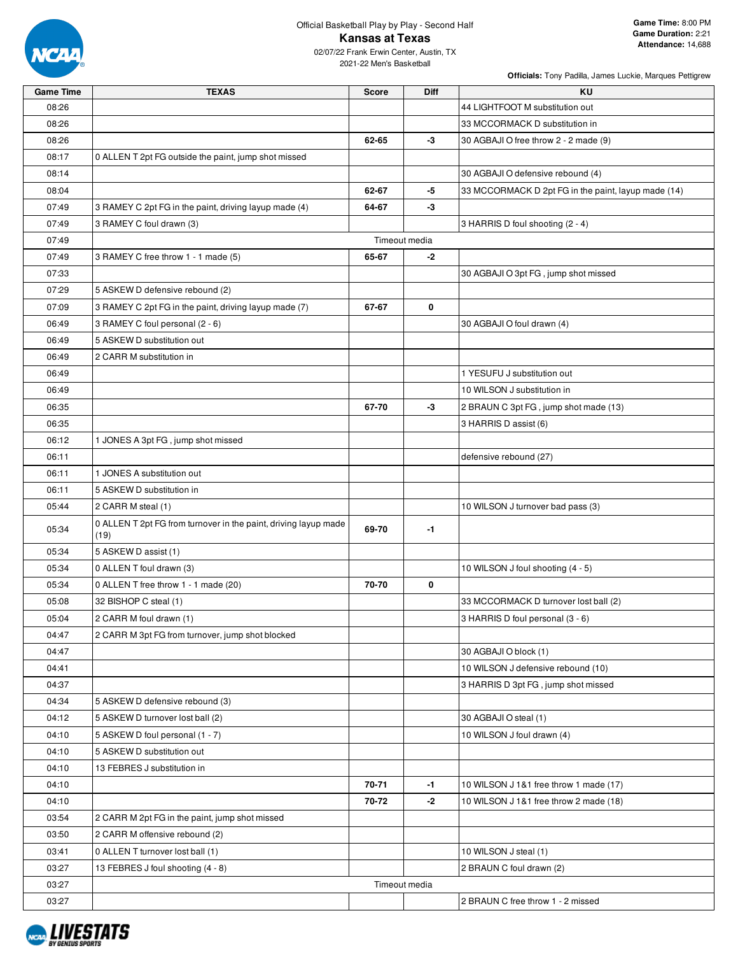

2021-22 Men's Basketball

| <b>Game Time</b> | <b>TEXAS</b>                                                            | <b>Score</b>  | <b>Diff</b>   | <b>KU</b>                                           |
|------------------|-------------------------------------------------------------------------|---------------|---------------|-----------------------------------------------------|
| 08:26            |                                                                         |               |               | 44 LIGHTFOOT M substitution out                     |
| 08:26            |                                                                         |               |               | 33 MCCORMACK D substitution in                      |
| 08:26            |                                                                         | 62-65         | $-3$          | 30 AGBAJI O free throw 2 - 2 made (9)               |
| 08:17            | 0 ALLEN T 2pt FG outside the paint, jump shot missed                    |               |               |                                                     |
| 08:14            |                                                                         |               |               | 30 AGBAJI O defensive rebound (4)                   |
| 08:04            |                                                                         | 62-67         | -5            | 33 MCCORMACK D 2pt FG in the paint, layup made (14) |
| 07:49            | 3 RAMEY C 2pt FG in the paint, driving layup made (4)                   | 64-67         | -3            |                                                     |
| 07:49            | 3 RAMEY C foul drawn (3)                                                |               |               | 3 HARRIS D foul shooting (2 - 4)                    |
| 07:49            |                                                                         |               | Timeout media |                                                     |
| 07:49            | 3 RAMEY C free throw 1 - 1 made (5)                                     | 65-67         | -2            |                                                     |
| 07:33            |                                                                         |               |               | 30 AGBAJI O 3pt FG, jump shot missed                |
| 07:29            | 5 ASKEW D defensive rebound (2)                                         |               |               |                                                     |
| 07:09            | 3 RAMEY C 2pt FG in the paint, driving layup made (7)                   | 67-67         | 0             |                                                     |
| 06:49            | 3 RAMEY C foul personal (2 - 6)                                         |               |               | 30 AGBAJI O foul drawn (4)                          |
| 06:49            | 5 ASKEW D substitution out                                              |               |               |                                                     |
| 06:49            | 2 CARR M substitution in                                                |               |               |                                                     |
| 06:49            |                                                                         |               |               | 1 YESUFU J substitution out                         |
| 06:49            |                                                                         |               |               | 10 WILSON J substitution in                         |
| 06:35            |                                                                         | 67-70         | -3            | 2 BRAUN C 3pt FG, jump shot made (13)               |
| 06:35            |                                                                         |               |               | 3 HARRIS D assist (6)                               |
| 06:12            | 1 JONES A 3pt FG, jump shot missed                                      |               |               |                                                     |
| 06:11            |                                                                         |               |               | defensive rebound (27)                              |
| 06:11            | 1 JONES A substitution out                                              |               |               |                                                     |
| 06:11            | 5 ASKEW D substitution in                                               |               |               |                                                     |
| 05:44            | 2 CARR M steal (1)                                                      |               |               | 10 WILSON J turnover bad pass (3)                   |
| 05:34            | 0 ALLEN T 2pt FG from turnover in the paint, driving layup made<br>(19) | 69-70         | -1            |                                                     |
| 05:34            | 5 ASKEW D assist (1)                                                    |               |               |                                                     |
| 05:34            | 0 ALLEN T foul drawn (3)                                                |               |               | 10 WILSON J foul shooting (4 - 5)                   |
| 05:34            | 0 ALLEN T free throw 1 - 1 made (20)                                    | 70-70         | 0             |                                                     |
| 05:08            | 32 BISHOP C steal (1)                                                   |               |               | 33 MCCORMACK D turnover lost ball (2)               |
| 05:04            | 2 CARR M foul drawn (1)                                                 |               |               | 3 HARRIS D foul personal (3 - 6)                    |
| 04:47            | 2 CARR M 3pt FG from turnover, jump shot blocked                        |               |               |                                                     |
| 04:47            |                                                                         |               |               | 30 AGBAJI O block (1)                               |
| 04:41            |                                                                         |               |               | 10 WILSON J defensive rebound (10)                  |
| 04:37            |                                                                         |               |               | 3 HARRIS D 3pt FG, jump shot missed                 |
| 04:34            | 5 ASKEW D defensive rebound (3)                                         |               |               |                                                     |
| 04:12            | 5 ASKEW D turnover lost ball (2)                                        |               |               | 30 AGBAJI O steal (1)                               |
| 04:10            | 5 ASKEW D foul personal (1 - 7)                                         |               |               | 10 WILSON J foul drawn (4)                          |
| 04:10            | 5 ASKEW D substitution out                                              |               |               |                                                     |
| 04:10            | 13 FEBRES J substitution in                                             |               |               |                                                     |
| 04:10            |                                                                         | 70-71         | $-1$          | 10 WILSON J 1&1 free throw 1 made (17)              |
| 04:10            |                                                                         | 70-72         | -2            | 10 WILSON J 1&1 free throw 2 made (18)              |
| 03:54            | 2 CARR M 2pt FG in the paint, jump shot missed                          |               |               |                                                     |
| 03:50            | 2 CARR M offensive rebound (2)                                          |               |               |                                                     |
| 03:41            | 0 ALLEN T turnover lost ball (1)                                        |               |               | 10 WILSON J steal (1)                               |
| 03:27            | 13 FEBRES J foul shooting (4 - 8)                                       |               |               | 2 BRAUN C foul drawn (2)                            |
| 03:27            |                                                                         | Timeout media |               |                                                     |
| 03:27            |                                                                         |               |               | 2 BRAUN C free throw 1 - 2 missed                   |

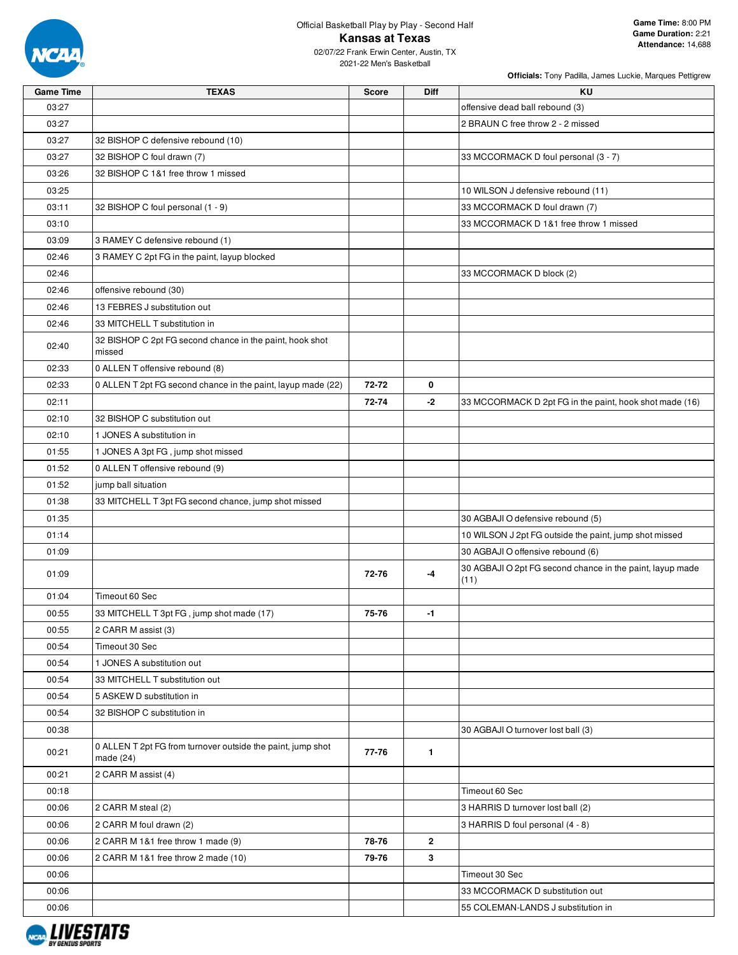

| <b>Game Time</b> | <b>TEXAS</b>                                                             | <b>Score</b> | <b>Diff</b>  | KU                                                                |
|------------------|--------------------------------------------------------------------------|--------------|--------------|-------------------------------------------------------------------|
| 03:27            |                                                                          |              |              | offensive dead ball rebound (3)                                   |
| 03:27            |                                                                          |              |              | 2 BRAUN C free throw 2 - 2 missed                                 |
| 03:27            | 32 BISHOP C defensive rebound (10)                                       |              |              |                                                                   |
| 03:27            | 32 BISHOP C foul drawn (7)                                               |              |              | 33 MCCORMACK D foul personal (3 - 7)                              |
| 03:26            | 32 BISHOP C 1&1 free throw 1 missed                                      |              |              |                                                                   |
| 03:25            |                                                                          |              |              | 10 WILSON J defensive rebound (11)                                |
| 03:11            | 32 BISHOP C foul personal (1 - 9)                                        |              |              | 33 MCCORMACK D foul drawn (7)                                     |
| 03:10            |                                                                          |              |              | 33 MCCORMACK D 1&1 free throw 1 missed                            |
| 03:09            | 3 RAMEY C defensive rebound (1)                                          |              |              |                                                                   |
| 02:46            | 3 RAMEY C 2pt FG in the paint, layup blocked                             |              |              |                                                                   |
| 02:46            |                                                                          |              |              | 33 MCCORMACK D block (2)                                          |
| 02:46            | offensive rebound (30)                                                   |              |              |                                                                   |
| 02:46            | 13 FEBRES J substitution out                                             |              |              |                                                                   |
| 02:46            | 33 MITCHELL T substitution in                                            |              |              |                                                                   |
|                  | 32 BISHOP C 2pt FG second chance in the paint, hook shot                 |              |              |                                                                   |
| 02:40            | missed                                                                   |              |              |                                                                   |
| 02:33            | 0 ALLEN T offensive rebound (8)                                          |              |              |                                                                   |
| 02:33            | 0 ALLEN T 2pt FG second chance in the paint, layup made (22)             | 72-72        | 0            |                                                                   |
| 02:11            |                                                                          | 72-74        | -2           | 33 MCCORMACK D 2pt FG in the paint, hook shot made (16)           |
| 02:10            | 32 BISHOP C substitution out                                             |              |              |                                                                   |
| 02:10            | 1 JONES A substitution in                                                |              |              |                                                                   |
| 01:55            | 1 JONES A 3pt FG, jump shot missed                                       |              |              |                                                                   |
| 01:52            | 0 ALLEN T offensive rebound (9)                                          |              |              |                                                                   |
| 01:52            | jump ball situation                                                      |              |              |                                                                   |
| 01:38            | 33 MITCHELL T 3pt FG second chance, jump shot missed                     |              |              |                                                                   |
| 01:35            |                                                                          |              |              | 30 AGBAJI O defensive rebound (5)                                 |
| 01:14            |                                                                          |              |              | 10 WILSON J 2pt FG outside the paint, jump shot missed            |
| 01:09            |                                                                          |              |              | 30 AGBAJI O offensive rebound (6)                                 |
| 01:09            |                                                                          | 72-76        | -4           | 30 AGBAJI O 2pt FG second chance in the paint, layup made<br>(11) |
| 01:04            | Timeout 60 Sec                                                           |              |              |                                                                   |
| 00:55            | 33 MITCHELL T 3pt FG, jump shot made (17)                                | 75-76        | -1           |                                                                   |
| 00:55            | 2 CARR M assist (3)                                                      |              |              |                                                                   |
| 00:54            | Timeout 30 Sec                                                           |              |              |                                                                   |
| 00:54            | 1 JONES A substitution out                                               |              |              |                                                                   |
| 00:54            | 33 MITCHELL T substitution out                                           |              |              |                                                                   |
| 00:54            | 5 ASKEW D substitution in                                                |              |              |                                                                   |
| 00:54            | 32 BISHOP C substitution in                                              |              |              |                                                                   |
| 00:38            |                                                                          |              |              | 30 AGBAJI O turnover lost ball (3)                                |
| 00:21            | 0 ALLEN T 2pt FG from turnover outside the paint, jump shot<br>made (24) | 77-76        | $\mathbf{1}$ |                                                                   |
| 00:21            | 2 CARR M assist (4)                                                      |              |              |                                                                   |
| 00:18            |                                                                          |              |              | Timeout 60 Sec                                                    |
| 00:06            | 2 CARR M steal (2)                                                       |              |              | 3 HARRIS D turnover lost ball (2)                                 |
| 00:06            | 2 CARR M foul drawn (2)                                                  |              |              | 3 HARRIS D foul personal (4 - 8)                                  |
| 00:06            | 2 CARR M 1&1 free throw 1 made (9)                                       | 78-76        | $\mathbf{2}$ |                                                                   |
| 00:06            | 2 CARR M 1&1 free throw 2 made (10)                                      | 79-76        | 3            |                                                                   |
| 00:06            |                                                                          |              |              | Timeout 30 Sec                                                    |
| 00:06            |                                                                          |              |              | 33 MCCORMACK D substitution out                                   |
| 00:06            |                                                                          |              |              | 55 COLEMAN-LANDS J substitution in                                |

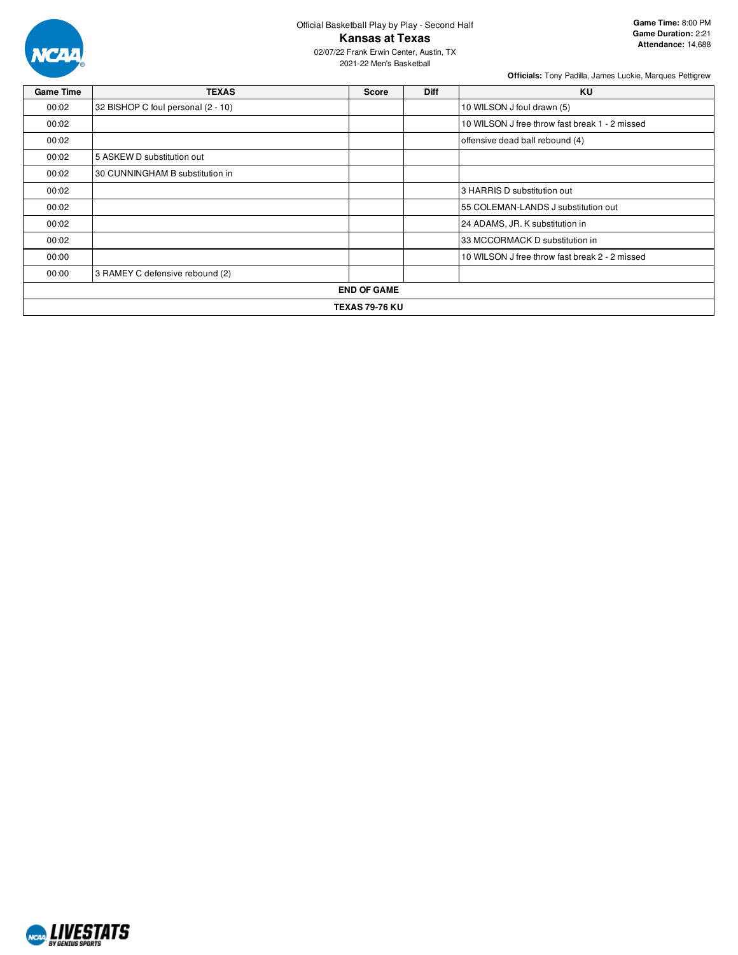

2021-22 Men's Basketball

| <b>Game Time</b> | <b>TEXAS</b>                       | <b>Score</b>          | <b>Diff</b> | KU                                             |
|------------------|------------------------------------|-----------------------|-------------|------------------------------------------------|
| 00:02            | 32 BISHOP C foul personal (2 - 10) |                       |             | 10 WILSON J foul drawn (5)                     |
| 00:02            |                                    |                       |             | 10 WILSON J free throw fast break 1 - 2 missed |
| 00:02            |                                    |                       |             | offensive dead ball rebound (4)                |
| 00:02            | 5 ASKEW D substitution out         |                       |             |                                                |
| 00:02            | 30 CUNNINGHAM B substitution in    |                       |             |                                                |
| 00:02            |                                    |                       |             | 3 HARRIS D substitution out                    |
| 00:02            |                                    |                       |             | 55 COLEMAN-LANDS J substitution out            |
| 00:02            |                                    |                       |             | 24 ADAMS, JR. K substitution in                |
| 00:02            |                                    |                       |             | 33 MCCORMACK D substitution in                 |
| 00:00            |                                    |                       |             | 10 WILSON J free throw fast break 2 - 2 missed |
| 00:00            | 3 RAMEY C defensive rebound (2)    |                       |             |                                                |
|                  |                                    | <b>END OF GAME</b>    |             |                                                |
|                  |                                    | <b>TEXAS 79-76 KU</b> |             |                                                |

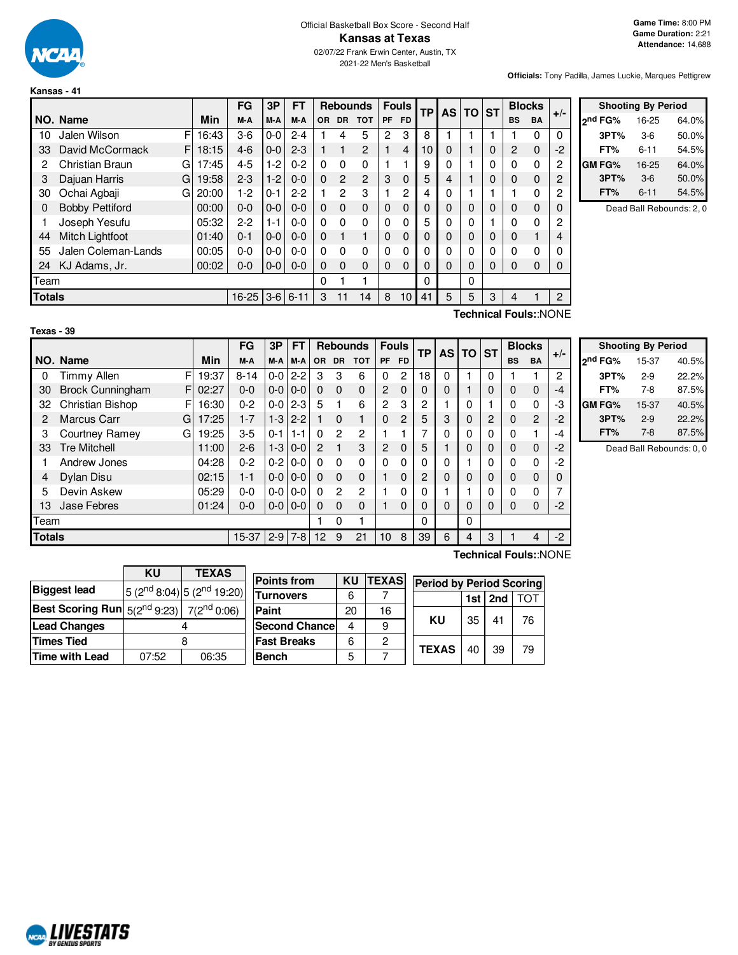

**Kansas - 41**

**Texas - 39**

#### Official Basketball Box Score - Second Half **Kansas at Texas** 02/07/22 Frank Erwin Center, Austin, TX 2021-22 Men's Basketball

**Officials:** Tony Padilla, James Luckie, Marques Pettigrew

|                                          |                        |       | FG      | 3Р      | <b>FT</b> |           |                | <b>Rebounds</b> | <b>Fouls</b> |                | ТP | AS I     | <b>TO</b>   | <b>ST</b> | <b>Blocks</b> |           | $+/-$                 |
|------------------------------------------|------------------------|-------|---------|---------|-----------|-----------|----------------|-----------------|--------------|----------------|----|----------|-------------|-----------|---------------|-----------|-----------------------|
|                                          | NO. Name               | Min   | M-A     | M-A     | M-A       | <b>OR</b> | <b>DR</b>      | <b>TOT</b>      | PF           | <b>FD</b>      |    |          |             |           | <b>BS</b>     | <b>BA</b> |                       |
| 10                                       | F<br>Jalen Wilson      | 16:43 | $3-6$   | $0-0$   | $2 - 4$   |           | 4              | 5               | 2            | 3              | 8  |          |             |           |               | 0         | 0                     |
| 33                                       | F<br>David McCormack   | 18:15 | $4-6$   | $0 - 0$ | $2 - 3$   |           |                | $\overline{c}$  |              | 4              | 10 | $\Omega$ |             | 0         | 2             | 0         | $-2$                  |
| 2                                        | Christian Braun<br>G   | 17:45 | $4 - 5$ | $1-2$   | $0 - 2$   | $\Omega$  | $\Omega$       | $\Omega$        |              |                | 9  | 0        |             | 0         | 0             | 0         | 2                     |
| 3                                        | Dajuan Harris<br>G     | 19:58 | $2 - 3$ | $1 - 2$ | $0 - 0$   | $\Omega$  | $\overline{c}$ | $\overline{2}$  | 3            | $\Omega$       | 5  | 4        |             | 0         | 0             | 0         | 2                     |
| 30                                       | Ochai Agbaji<br>G      | 20:00 | 1-2     | $0 - 1$ | $2-2$     |           | $\overline{c}$ | 3               |              | $\overline{c}$ | 4  | 0        |             |           |               | 0         | 2                     |
| 0                                        | <b>Bobby Pettiford</b> | 00:00 | $0 - 0$ | $0 - 0$ | $0 - 0$   | $\Omega$  | $\Omega$       | $\Omega$        | 0            | $\Omega$       | 0  | 0        | 0           | $\Omega$  | 0             | $\Omega$  | 0                     |
|                                          | Joseph Yesufu          | 05:32 | $2-2$   | 1-1     | $0 - 0$   | $\Omega$  | 0              | $\Omega$        | 0            | 0              | 5  | 0        | 0           |           | $\Omega$      | 0         | 2                     |
| 44                                       | Mitch Lightfoot        | 01:40 | $0 - 1$ | $0 - 0$ | $0 - 0$   | $\Omega$  |                |                 | 0            | $\Omega$       | 0  | 0        | $\mathbf 0$ | $\Omega$  | 0             | 1         | 4                     |
| 55                                       | Jalen Coleman-Lands    | 00:05 | $0 - 0$ | $0-0$   | $0-0$     | $\Omega$  | $\Omega$       | 0               | 0            | 0              | 0  | 0        | 0           | 0         | 0             | 0         | 0                     |
| 24                                       | KJ Adams, Jr.          | 00:02 | $0 - 0$ | $0-0$   | $0-0$     | $\Omega$  | $\Omega$       | 0               | 0            | 0              | 0  | 0        | $\Omega$    | 0         | 0             | $\Omega$  | 0                     |
| Team                                     |                        |       |         |         |           | 0         |                |                 |              |                | 0  |          | 0           |           |               |           |                       |
| <b>Totals</b><br>$3-6$ 6-11<br>$16 - 25$ |                        |       |         |         |           | 3         | 11             | 14              | 8            | 10             | 41 | 5        | 5           | 3         | 4             |           | 2                     |
|                                          |                        |       |         |         |           |           |                |                 |              |                |    |          |             |           |               |           | Technical Fouls::NONE |

|               | <b>Shooting By Period</b> |       |  |  |  |  |  |  |  |  |  |  |  |  |
|---------------|---------------------------|-------|--|--|--|--|--|--|--|--|--|--|--|--|
| ond FG%       | 16-25                     | 64.0% |  |  |  |  |  |  |  |  |  |  |  |  |
| 3PT%          | $3-6$                     | 50.0% |  |  |  |  |  |  |  |  |  |  |  |  |
| FT%           | $6 - 11$                  | 54.5% |  |  |  |  |  |  |  |  |  |  |  |  |
| <b>GM FG%</b> | 16-25                     | 64.0% |  |  |  |  |  |  |  |  |  |  |  |  |
| 3PT%          | $3-6$                     | 50.0% |  |  |  |  |  |  |  |  |  |  |  |  |
| FT%           | 6-11                      | 54.5% |  |  |  |  |  |  |  |  |  |  |  |  |

Dead Ball Rebounds: 2, 0

|          | NO. Name            | Min     |
|----------|---------------------|---------|
| $\Omega$ | Timmy Allen         | F 19:37 |
|          | 30 Brock Cunningham | F 02:27 |

|        |                               |       | FG       | 3Р       | FT              |                |           | <b>Rebounds</b> | <b>Fouls</b> |                | <b>TP</b> | <b>AS</b> | $TO$ ST |   | <b>Blocks</b> |                | $+/-$    |
|--------|-------------------------------|-------|----------|----------|-----------------|----------------|-----------|-----------------|--------------|----------------|-----------|-----------|---------|---|---------------|----------------|----------|
|        | NO. Name                      | Min   | M-A      | M-A      | M-A             | <b>OR</b>      | <b>DR</b> | <b>TOT</b>      | <b>PF</b>    | <b>FD</b>      |           |           |         |   | <b>BS</b>     | BA             |          |
| 0      | <b>Timmy Allen</b><br>F       | 19:37 | $8 - 14$ | $0-0$    | $2 - 2$         | 3              | 3         | 6               | 0            | $\mathbf{2}$   | 18        | $\Omega$  |         | 0 |               |                | 2        |
| 30     | <b>Brock Cunningham</b><br>FI | 02:27 | $0 - 0$  |          | $0 - 0 1 0 - 0$ | $\Omega$       | $\Omega$  | $\mathbf{0}$    | 2            | $\Omega$       | 0         | $\Omega$  |         | 0 | 0             | $\mathbf 0$    | $-4$     |
| 32     | Christian Bishop<br>F         | 16:30 | $0 - 2$  | $0-0$    | $2 - 3$         | 5              |           | 6               | 2            | 3              | 2         |           | 0       |   | 0             | 0              | -3       |
| 2      | <b>Marcus Carr</b><br>G       | 17:25 | $1 - 7$  | $1 - 3$  | $2 - 2$         |                | $\Omega$  |                 | 0            | $\overline{2}$ | 5         | 3         | 0       | 2 | $\Omega$      | $\overline{2}$ | $-2$     |
| 3      | <b>Courtney Ramey</b><br>G    | 19:25 | $3-5$    | $0 - 11$ | $1 - 1$         | 0              | 2         | 2               |              |                |           | $\Omega$  | 0       | 0 | 0             | 1              | -4       |
| 33     | <b>Tre Mitchell</b>           | 11:00 | $2 - 6$  | $1 - 3$  | $10-0$          | $\overline{2}$ |           | 3               | 2            | $\Omega$       | 5         |           | 0       | 0 | 0             | $\mathbf 0$    | $-2$     |
|        | Andrew Jones                  | 04:28 | $0 - 2$  | $0-2$    | $0-0$           | 0              | $\Omega$  | $\Omega$        | 0            | $\Omega$       | 0         | $\Omega$  |         | 0 | 0             | 0              | $-2$     |
| 4      | Dylan Disu                    | 02:15 | $1 - 1$  |          | $0 - 0 0 - 0$   | $\Omega$       | $\Omega$  | $\Omega$        |              | $\Omega$       | 2         | $\Omega$  | 0       | 0 | 0             | $\mathbf 0$    | $\Omega$ |
| 5      | Devin Askew                   | 05:29 | $0 - 0$  | $0-0$    | $0 - 0$         | 0              | 2         | $\overline{c}$  |              | 0              | 0         |           |         | 0 | 0             | 0              | 7        |
| 13     | Jase Febres                   | 01:24 | $0 - 0$  |          | $0 - 0 0 - 0$   | $\Omega$       | $\Omega$  | $\mathbf{0}$    |              | $\Omega$       | 0         | $\Omega$  | 0       | 0 | 0             | $\mathbf 0$    | $-2$     |
| Team   |                               |       |          |          |                 |                | 0         |                 |              |                | 0         |           | 0       |   |               |                |          |
| Totals |                               |       | 15-37    | $2-9$    | $7 - 8$         | 12             | 9         | 21              | 10           | 8              | 39        | 6         | 4       | 3 |               | 4              | $-2$     |

| <b>Shooting By Period</b> |       |       |  |  |  |  |  |  |  |  |  |  |  |
|---------------------------|-------|-------|--|--|--|--|--|--|--|--|--|--|--|
| 2 <sup>nd</sup> FG%       | 15-37 | 40.5% |  |  |  |  |  |  |  |  |  |  |  |
| 3PT%                      | $2-9$ | 22.2% |  |  |  |  |  |  |  |  |  |  |  |
| FT%                       | 7-8   | 87.5% |  |  |  |  |  |  |  |  |  |  |  |
| GM FG%                    | 15-37 | 40.5% |  |  |  |  |  |  |  |  |  |  |  |
| 3PT%                      | $2-9$ | 22.2% |  |  |  |  |  |  |  |  |  |  |  |
| FT%                       | $7-8$ | 87.5% |  |  |  |  |  |  |  |  |  |  |  |

Dead Ball Rebounds: 0, 0

|                                                                | KU    | <b>TEXAS</b>                      |  |  |  |  |  |  |  |  |  |
|----------------------------------------------------------------|-------|-----------------------------------|--|--|--|--|--|--|--|--|--|
| <b>Biggest lead</b>                                            |       | $5(2^{nd}8:04)$ 5 $(2^{nd}19:20)$ |  |  |  |  |  |  |  |  |  |
| Best Scoring Run $ 5(2^{\text{nd}}9:23) 7(2^{\text{nd}}0:06) $ |       |                                   |  |  |  |  |  |  |  |  |  |
| <b>Lead Changes</b>                                            |       |                                   |  |  |  |  |  |  |  |  |  |
| Times Tied                                                     |       |                                   |  |  |  |  |  |  |  |  |  |
| Time with Lead                                                 | 07:52 | 06:35                             |  |  |  |  |  |  |  |  |  |

| <b>Points from</b>    | KU | <b>TEXAS</b> | <b>Period by Period Scoring</b> |    |           |    |  |  |  |  |  |
|-----------------------|----|--------------|---------------------------------|----|-----------|----|--|--|--|--|--|
| Turnovers             | 6  |              |                                 |    | $1st$ 2nd |    |  |  |  |  |  |
| Paint                 | 20 | 16           |                                 |    |           |    |  |  |  |  |  |
| <b>Second Chancel</b> |    | 9            | ΚU                              | 35 | 41        | 76 |  |  |  |  |  |
| <b>Fast Breaks</b>    | 6  | 2            |                                 |    |           |    |  |  |  |  |  |
| <b>Bench</b>          | 5  |              | <b>TEXAS</b>                    | 40 | 39        | 79 |  |  |  |  |  |

# **Technical Fouls:**:NONE

| <b>MLIVESTATS</b>               |
|---------------------------------|
|                                 |
| <i><b>RY GENTIIS SPORTS</b></i> |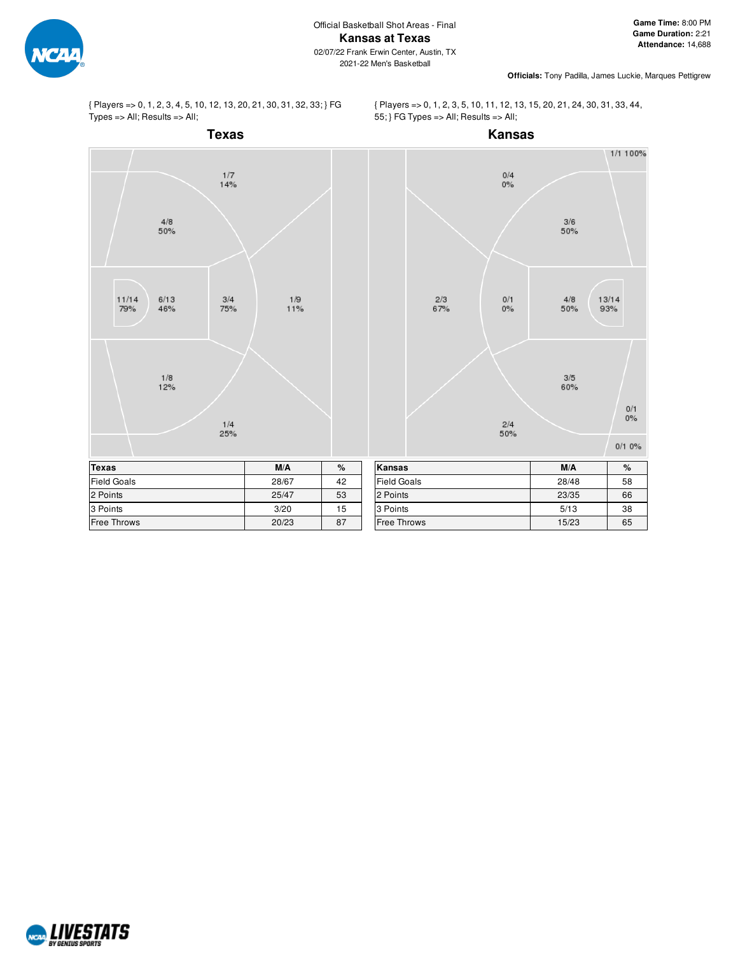

{ Players => 0, 1, 2, 3, 4, 5, 10, 12, 13, 20, 21, 30, 31, 32, 33; } FG Types => All; Results => All;

{ Players => 0, 1, 2, 3, 5, 10, 11, 12, 13, 15, 20, 21, 24, 30, 31, 33, 44, 55; } FG Types => All; Results => All;



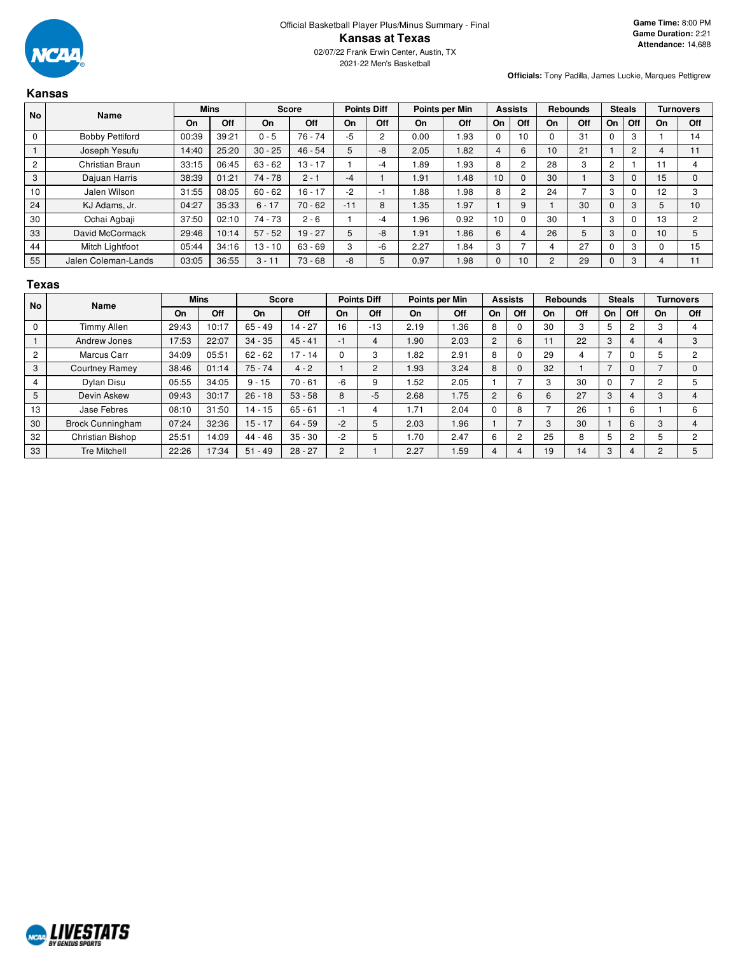

|                | <b>Kansas</b>          |       |             |           |              |       |                    |      |                |                |                |                 |                 |                |               |                 |                  |
|----------------|------------------------|-------|-------------|-----------|--------------|-------|--------------------|------|----------------|----------------|----------------|-----------------|-----------------|----------------|---------------|-----------------|------------------|
| No             | Name                   |       | <b>Mins</b> |           | <b>Score</b> |       | <b>Points Diff</b> |      | Points per Min |                | <b>Assists</b> |                 | <b>Rebounds</b> |                | <b>Steals</b> |                 | <b>Turnovers</b> |
|                |                        | On    | Off         | On        | Off          | On    | Off                | On   | Off            | <b>On</b>      | Off            | On              | Off             | On             | Off           | On              | Off              |
| $\mathbf 0$    | <b>Bobby Pettiford</b> | 00:39 | 39:21       | $0 - 5$   | $76 - 74$    | -5    | 2                  | 0.00 | 1.93           | $\Omega$       | 10             |                 | 31              | n              | 3             |                 | 14               |
|                | Joseph Yesufu          | 14:40 | 25:20       | $30 - 25$ | $46 - 54$    | 5     | -8                 | 2.05 | 1.82           | $\overline{4}$ | 6              | 10 <sup>°</sup> | 21              |                | 2             | 4               | 11               |
| $\overline{c}$ | Christian Braun        | 33:15 | 06:45       | $63 - 62$ | $13 - 17$    |       | -4                 | 1.89 | .93            | 8              | $\overline{c}$ | 28              | 3               | $\overline{c}$ |               | 11              | 4                |
| 3              | Dajuan Harris          | 38:39 | 01:21       | $74 - 78$ | $2 - 1$      | -4    |                    | 1.91 | 1.48           | 10             | $\Omega$       | 30              |                 | 3              | 0             | 15              | $\Omega$         |
| 10             | Jalen Wilson           | 31:55 | 08:05       | $60 - 62$ | $16 - 17$    | -2    | -1                 | 88.1 | .98            | 8              | 2              | 24              |                 | 3              | 0             | 12              | 3                |
| 24             | KJ Adams, Jr.          | 04:27 | 35:33       | $6 - 17$  | $70 - 62$    | $-11$ | 8                  | 1.35 | 1.97           |                | 9              |                 | 30              |                | 3             | 5               | 10               |
| 30             | Ochai Agbaji           | 37:50 | 02:10       | $74 - 73$ | $2 - 6$      |       | -4                 | .96  | 0.92           | 10             | 0              | 30              |                 | 3              | 0             | 13              | 2                |
| 33             | David McCormack        | 29:46 | 10:14       | $57 - 52$ | $19 - 27$    | 5     | -8                 | 1.91 | .86            | 6              | 4              | 26              | 5               | 3              | $\Omega$      | 10 <sup>1</sup> | 5                |
| 44             | Mitch Lightfoot        | 05:44 | 34:16       | $13 - 10$ | $63 - 69$    | 3     | -6                 | 2.27 | .84            | 3              | ⇁              | 4               | 27              | O              | 3             | 0               | 15               |
| 55             | Jalen Coleman-Lands    | 03:05 | 36:55       | $3 - 11$  | $73 - 68$    | -8    | 5                  | 0.97 | 1.98           | $\mathbf{0}$   | 10             | $\overline{2}$  | 29              | 0              | 3             | 4               | 11               |

#### **Texas**

| <b>No</b>      | Name                    | <b>Mins</b> |       | <b>Score</b> |           | <b>Points Diff</b> |       | Points per Min |      | <b>Assists</b> |     | <b>Rebounds</b> |     | <b>Steals</b>            |                |    | <b>Turnovers</b> |
|----------------|-------------------------|-------------|-------|--------------|-----------|--------------------|-------|----------------|------|----------------|-----|-----------------|-----|--------------------------|----------------|----|------------------|
|                |                         | <b>On</b>   | Off   | On           | Off       | On                 | Off   | On             | Off  | On             | Off | On              | Off | On                       | Off            | On | <b>Off</b>       |
| $\mathbf 0$    | <b>Timmy Allen</b>      | 29:43       | 10:17 | $65 - 49$    | $14 - 27$ | 16                 | $-13$ | 2.19           | 1.36 | 8              |     | 30              | 3   | 5                        | 2              | з  |                  |
|                | Andrew Jones            | 17:53       | 22:07 | $34 - 35$    | $45 - 41$ | $-1$               | 4     | 1.90           | 2.03 | 2              | 6   |                 | 22  | 3                        | 4              |    | 3                |
| $\overline{2}$ | Marcus Carr             | 34:09       | 05:51 | $62 - 62$    | $17 - 14$ | 0                  | 3     | .82            | 2.91 | 8              |     | 29              | 4   | $\overline{\phantom{a}}$ | 0              | 5  | $\overline{2}$   |
| 3              | <b>Courtney Ramey</b>   | 38:46       | 01:14 | $75 - 74$    | $4 - 2$   |                    | 2     | 1.93           | 3.24 | 8              |     | 32              |     |                          | 0              |    |                  |
| 4              | Dylan Disu              | 05:55       | 34:05 | $9 - 15$     | $70 - 61$ | $-6$               | 9     | 1.52           | 2.05 |                |     | C               | 30  | $\Omega$                 | ⇁              | c  |                  |
| 5              | Devin Askew             | 09:43       | 30:17 | $26 - 18$    | $53 - 58$ | 8                  | $-5$  | 2.68           | 1.75 | 2              | 6   | $\sim$          | 27  | 3                        | 4              | 3  |                  |
| 13             | Jase Febres             | 08:10       | 31:50 | $14 - 15$    | $65 - 61$ | -1                 | 4     | 1.71           | 2.04 |                | 8   |                 | 26  |                          | 6              |    | 6                |
| 30             | <b>Brock Cunningham</b> | 07:24       | 32:36 | $15 - 17$    | $64 - 59$ | $-2$               | 5     | 2.03           | 1.96 |                |     | 3               | 30  |                          | 6              | 3  |                  |
| 32             | Christian Bishop        | 25:51       | 14:09 | $44 - 46$    | $35 - 30$ | $-2$               | 5     | 1.70           | 2.47 | 6              | 2   | 25              | 8   | 5                        | $\overline{2}$ |    | 2                |
| 33             | <b>Tre Mitchell</b>     | 22:26       | 17:34 | $51 - 49$    | $28 - 27$ | $\overline{c}$     |       | 2.27           | 1.59 |                |     | 19              | 14  | 3                        | 4              |    |                  |

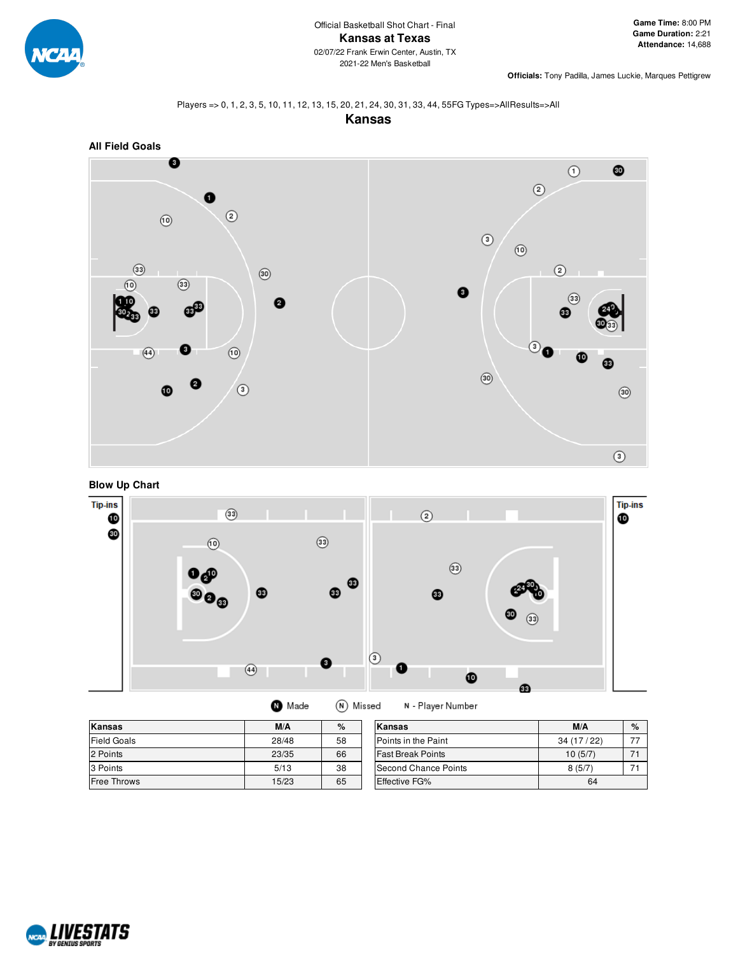

#### Players => 0, 1, 2, 3, 5, 10, 11, 12, 13, 15, 20, 21, 24, 30, 31, 33, 44, 55FG Types=>AllResults=>All









| Made | $(N)$ M |
|------|---------|
|      |         |

 $\bf \Phi$ 

N - Player Number lissed

| Kansas             | M/A   | %  | Kansas                   | M/A       | $\%$ |
|--------------------|-------|----|--------------------------|-----------|------|
| <b>Field Goals</b> | 28/48 | 58 | Points in the Paint      | 34(17/22) |      |
| 2 Points           | 23/35 | 66 | <b>Fast Break Points</b> | 10(5/7)   |      |
| 3 Points           | 5/13  | 38 | Second Chance Points     | 8(5/7)    |      |
| <b>Free Throws</b> | 15/23 | 65 | <b>Effective FG%</b>     | 64        |      |

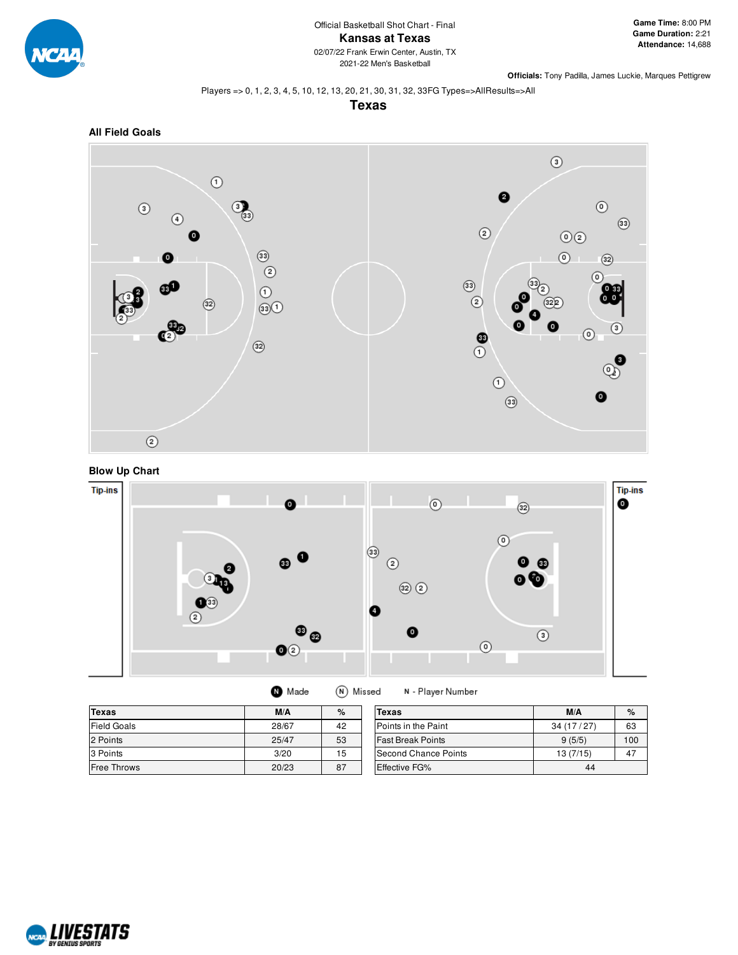

#### Players => 0, 1, 2, 3, 4, 5, 10, 12, 13, 20, 21, 30, 31, 32, 33FG Types=>AllResults=>All

**Texas**







| Made |  | (N) Missed | N - Player Number |
|------|--|------------|-------------------|
|------|--|------------|-------------------|

| <b>Texas</b>       | M/A   | $\%$ | Texas                    | M/A       | $\%$ |
|--------------------|-------|------|--------------------------|-----------|------|
| <b>Field Goals</b> | 28/67 | 42   | Points in the Paint      | 34(17/27) | 63   |
| 2 Points           | 25/47 | 53   | <b>Fast Break Points</b> | 9(5/5)    | 100  |
| 3 Points           | 3/20  | 15   | Second Chance Points     | 13(7/15)  | 47   |
| Free Throws        | 20/23 | 87   | Effective FG%            | 44        |      |

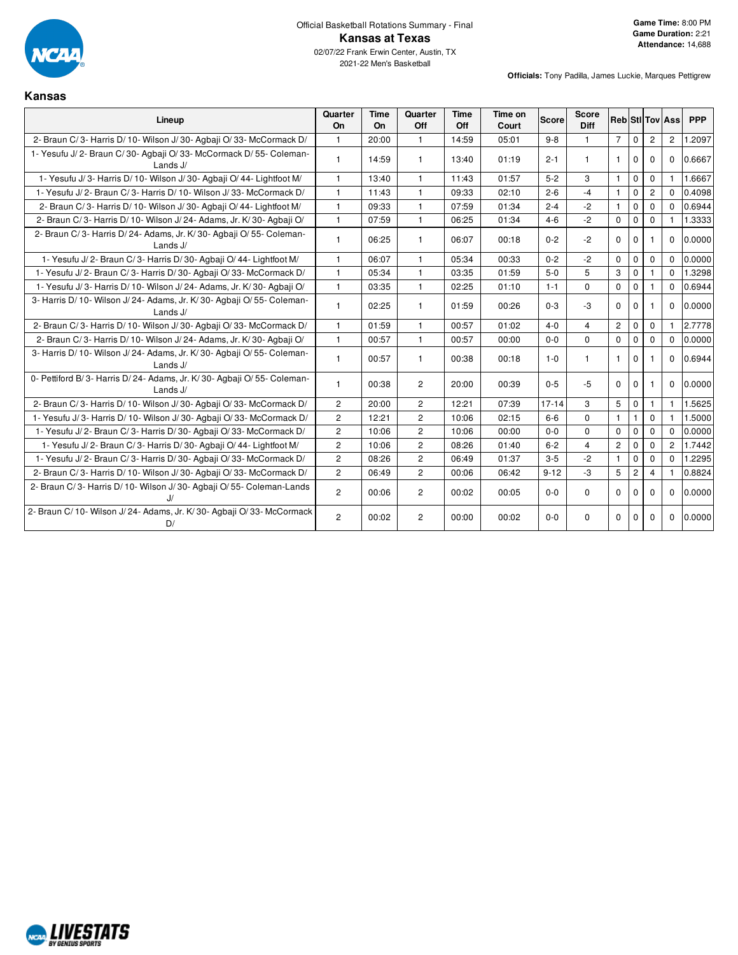

#### **Kansas**

| Lineup                                                                              | Quarter<br>On  | <b>Time</b><br>On | Quarter<br>Off | <b>Time</b><br>Off | Time on<br>Court | <b>Score</b> | <b>Score</b><br><b>Diff</b> |                |                |                | <b>Reb StilTov Ass</b> | <b>PPP</b> |
|-------------------------------------------------------------------------------------|----------------|-------------------|----------------|--------------------|------------------|--------------|-----------------------------|----------------|----------------|----------------|------------------------|------------|
| 2- Braun C/3- Harris D/10- Wilson J/30- Agbaii O/33- McCormack D/                   | $\mathbf{1}$   | 20:00             | $\mathbf{1}$   | 14:59              | 05:01            | $9 - 8$      | $\mathbf{1}$                | $7^{\circ}$    | $\mathbf 0$    | $\overline{2}$ | $\overline{2}$         | 1.2097     |
| 1- Yesufu J/2- Braun C/30- Agbaji O/33- McCormack D/55- Coleman-<br>Lands J/        | $\mathbf{1}$   | 14:59             | $\mathbf{1}$   | 13:40              | 01:19            | $2 - 1$      | $\mathbf{1}$                | $\mathbf{1}$   | $\Omega$       | $\Omega$       | $\Omega$               | 0.6667     |
| 1- Yesufu J/3- Harris D/10- Wilson J/30- Agbaji O/44- Lightfoot M/                  | $\mathbf{1}$   | 13:40             | 1              | 11:43              | 01:57            | $5-2$        | 3                           | $\mathbf{1}$   | $\mathbf 0$    | 0              | $\mathbf{1}$           | 1.6667     |
| 1- Yesufu J/2- Braun C/3- Harris D/10- Wilson J/33- McCormack D/                    | $\mathbf{1}$   | 11:43             | $\mathbf{1}$   | 09:33              | 02:10            | $2 - 6$      | $-4$                        | $\mathbf{1}$   | $\Omega$       | $\overline{2}$ | $\Omega$               | 0.4098     |
| 2- Braun C/3- Harris D/10- Wilson J/30- Agbaji O/44- Lightfoot M/                   | $\mathbf{1}$   | 09:33             | $\mathbf{1}$   | 07:59              | 01:34            | $2 - 4$      | $-2$                        | $\mathbf{1}$   | $\mathbf 0$    | $\Omega$       | $\Omega$               | 0.6944     |
| 2- Braun C/3- Harris D/10- Wilson J/24- Adams, Jr. K/30- Agbaji O/                  | $\mathbf{1}$   | 07:59             | $\mathbf{1}$   | 06:25              | 01:34            | $4 - 6$      | $-2$                        | $\Omega$       | $\mathbf 0$    | $\Omega$       |                        | 1.3333     |
| 2- Braun C/3- Harris D/24- Adams, Jr. K/30- Agbaji O/55- Coleman-<br>Lands J/       | $\mathbf{1}$   | 06:25             | 1              | 06:07              | 00:18            | $0 - 2$      | $-2$                        | $\Omega$       | $\Omega$       |                | $\Omega$               | 0.0000     |
| 1- Yesufu J/2- Braun C/3- Harris D/30- Agbaii O/44- Lightfoot M/                    | $\mathbf{1}$   | 06:07             | $\mathbf{1}$   | 05:34              | 00:33            | $0 - 2$      | $-2$                        | $\Omega$       | $\mathbf 0$    | $\mathbf 0$    | $\Omega$               | 0.0000     |
| 1- Yesufu J/2- Braun C/3- Harris D/30- Agbaii O/33- McCormack D/                    | $\mathbf{1}$   | 05:34             | 1              | 03:35              | 01:59            | $5-0$        | 5                           | 3              | $\mathbf 0$    |                | $\Omega$               | 1.3298     |
| 1- Yesufu J/3- Harris D/10- Wilson J/24- Adams, Jr. K/30- Agbaji O/                 | $\mathbf{1}$   | 03:35             | $\mathbf{1}$   | 02:25              | 01:10            | $1 - 1$      | $\Omega$                    | $\mathbf 0$    | $\mathbf 0$    |                | $\Omega$               | 0.6944     |
| 3- Harris D/10- Wilson J/24- Adams, Jr. K/30- Agbaji O/55- Coleman-<br>Lands J/     | $\mathbf{1}$   | 02:25             | 1              | 01:59              | 00:26            | $0 - 3$      | $-3$                        | $\Omega$       | $\mathbf 0$    | 1              | $\Omega$               | 0.0000     |
| 2- Braun C/3- Harris D/10- Wilson J/30- Agbaji O/33- McCormack D/                   | $\mathbf{1}$   | 01:59             | $\mathbf{1}$   | 00:57              | 01:02            | $4 - 0$      | $\overline{4}$              | $\overline{2}$ | $\mathbf{0}$   | 0              | $\mathbf{1}$           | 2.7778     |
| 2- Braun C/3- Harris D/10- Wilson J/24- Adams, Jr. K/30- Agbaji O/                  | $\mathbf{1}$   | 00:57             | $\mathbf{1}$   | 00:57              | 00:00            | $0-0$        | $\mathbf 0$                 | $\mathbf 0$    | $\Omega$       | $\Omega$       | $\Omega$               | 0.0000     |
| 3- Harris D/ 10- Wilson J/ 24- Adams, Jr. K/ 30- Agbaji O/ 55- Coleman-<br>Lands J/ | $\mathbf{1}$   | 00:57             | 1              | 00:38              | 00:18            | $1 - 0$      | 1.                          | $\mathbf{1}$   | $\Omega$       |                | $\Omega$               | 0.6944     |
| 0- Pettiford B/3- Harris D/24- Adams, Jr. K/30- Agbaji O/55- Coleman-<br>Lands J/   | $\mathbf{1}$   | 00:38             | $\overline{2}$ | 20:00              | 00:39            | $0 - 5$      | $-5$                        | $\Omega$       | $\Omega$       | 1              | $\Omega$               | 0.0000     |
| 2- Braun C/3- Harris D/10- Wilson J/30- Agbaji O/33- McCormack D/                   | $\overline{2}$ | 20:00             | $\overline{c}$ | 12:21              | 07:39            | $17 - 14$    | 3                           | 5              | $\mathbf{0}$   | 1              | $\mathbf{1}$           | 1.5625     |
| 1- Yesufu J/3- Harris D/10- Wilson J/30- Agbaii O/33- McCormack D/                  | $\overline{2}$ | 12:21             | $\overline{2}$ | 10:06              | 02:15            | $6-6$        | $\Omega$                    | $\mathbf{1}$   | $\mathbf{1}$   | $\Omega$       |                        | 1.5000     |
| 1- Yesufu J/2- Braun C/3- Harris D/30- Agbaii O/33- McCormack D/                    | $\overline{c}$ | 10:06             | $\overline{2}$ | 10:06              | 00:00            | $0 - 0$      | $\Omega$                    | $\Omega$       | $\Omega$       | $\Omega$       | $\Omega$               | 0.0000     |
| 1- Yesufu J/2- Braun C/3- Harris D/30- Agbaii O/44- Lightfoot M/                    | $\mathbf{2}$   | 10:06             | $\overline{c}$ | 08:26              | 01:40            | $6 - 2$      | $\overline{4}$              | $\overline{c}$ | $\mathbf 0$    | $\Omega$       | $\overline{2}$         | 1.7442     |
| 1- Yesufu J/2- Braun C/3- Harris D/30- Agbaji O/33- McCormack D/                    | $\overline{2}$ | 08:26             | $\overline{2}$ | 06:49              | 01:37            | $3-5$        | $-2$                        | $\mathbf{1}$   | $\mathbf 0$    | $\Omega$       | $\Omega$               | 1.2295     |
| 2- Braun C/3- Harris D/10- Wilson J/30- Agbaii O/33- McCormack D/                   | $\overline{2}$ | 06:49             | $\overline{2}$ | 00:06              | 06:42            | $9 - 12$     | $-3$                        | 5              | $\overline{c}$ | $\overline{4}$ |                        | 0.8824     |
| 2- Braun C/3- Harris D/10- Wilson J/30- Agbaji O/55- Coleman-Lands                  | $\overline{2}$ | 00:06             | $\overline{2}$ | 00:02              | 00:05            | $0 - 0$      | $\Omega$                    | $\Omega$       | $\Omega$       | $\Omega$       | $\Omega$               | 0.0000     |
| 2- Braun C/ 10- Wilson J/ 24- Adams, Jr. K/ 30- Agbaji O/ 33- McCormack<br>D/       | $\overline{2}$ | 00:02             | $\overline{c}$ | 00:00              | 00:02            | $0 - 0$      | $\Omega$                    | $\Omega$       | $\mathbf 0$    | $\Omega$       | $\Omega$               | 0.0000     |

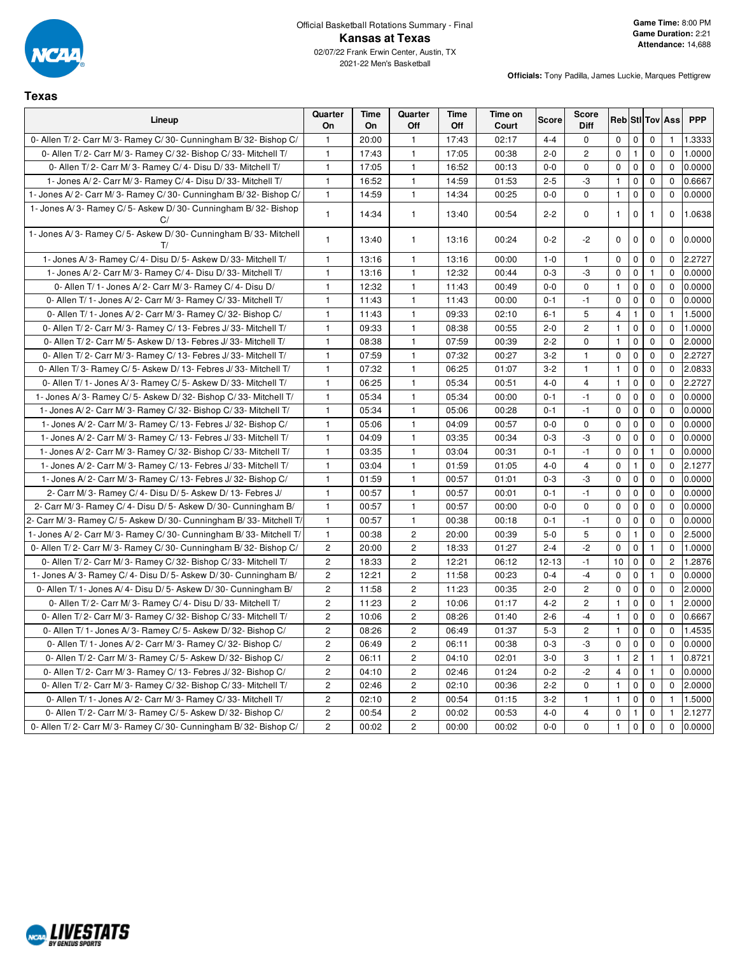

**Texas**

**Officials:** Tony Padilla, James Luckie, Marques Pettigrew

#### **Lineup Quarter On Time On Quarter Off Time Off Time on Court Score Score Diff Reb Stl Tov Ass PPP** 0- Allen T/ 2- Carr M/ 3- Ramey C/ 30- Cunningham B/ 32- Bishop C/ | 1 | 20:00 | 1 | 17:43 | 02:17 | 4-4 | 0 | 0 | 0 | 0 | 1 | 1.3333 0- Allen T/ 2- Carr M/ 3- Ramey C/ 32- Bishop C/ 33- Mitchell T/ 1 17:43 1 17:43 1 17:05 00:38 2-0 2 0 1 0 0 1.0000 0- Allen T/ 2- Carr M/ 3- Ramey C/ 4- Disu D/ 33- Mitchell T/ 1 17:05 1 1 16:52 00:13 0-0 0 0 0 0 0 0 0 0 0 0 1- Jones A/ 2- Carr M/ 3- Ramey C/ 4- Disu D/ 33- Mitchell T/  $\begin{vmatrix} 1 & 16:52 & 1 & 14:59 \\ 16 & 16:52 & 1 & 14:59 \end{vmatrix}$  01:53  $\begin{vmatrix} 2-5 & 3 & 1 & 0 & 0 & 0 & 0.666 \\ 0 & 0 & 0.666 & 0 & 0 & 0 & 0.666 \end{vmatrix}$ 1- Jones A/ 2- Carr M/ 3- Ramey C/ 30- Cunningham B/ 32- Bishop C/ | 1 | 14:59 | 1 | 14:34 | 00:25 | 0-0 | 0 | 0 | 0 | 0 | 0 | 0 | 0.0000 1- Jones A/ 3- Ramey C/ 5- Askew D/ 30- Cunningham B/ 32- Bishop  $C/$ 1 14:34 1 13:40 00:54 2-2 0 1 0 1 0 1.0638 1- Jones A/ 3- Ramey C/ 5- Askew D/ 30- Cunningham B/ 33- Mitchell  $T/$ 1 | 13:40 | 1 | 13:16 | 00:24 | 0-2 | -2 | 0 | 0 | 0 | 0 | 0.0000 | 1- Jones A/ 3- Ramey C/ 4- Disu D/ 5- Askew D/ 33- Mitchell T/ 1 13:16 1 13:16 1 3:16 00:00 1-0 1 0 0 0 0 2.2727 1- Jones A/ 2- Carr M/ 3- Ramey C/ 4- Disu D/ 33- Mitchell T/ 1 13:16 1 13:16 1 0 12:32 00:44 0-3 -3 0 0 1 0 0.0000 0- Allen T/ 1- Jones A/ 2- Carr M/ 3- Ramey C/ 4- Disu D/ 1 1 12:32 1 1 11:43 00:49 0-0 0-0 0 1 0 0 0.0000 0- Allen T/ 1- Jones A/ 2- Carr M/ 3- Ramey C/ 33- Mitchell T/ | 1 | 11:43 | 1 | 11:43 | 00:00 | 0-1 | -1 | 0 | 0 | 0 | 0 | 00:000 0- Allen T/ 1- Jones A/ 2- Carr M/ 3- Ramey C/ 32- Bishop C/ | 1 | 11:43 | 1 | 09:33 | 02:10 | 6-1 | 5 | 4 | 1 | 0 | 1 | 1.5000 0- Allen T/ 2- Carr M/ 3- Ramey C/ 13- Febres J/ 33- Mitchell T/ | 1 09:33 | 1 08:38 00:55 2-0 | 2 | 1 0 | 0 | 0 | 1.0000 0- Allen T/ 2- Carr M/ 5- Askew D/ 13- Febres J/ 33- Mitchell T/ 1 08:38 1 07:59 00:39 2-2 0 1 0 0 0 2.0000 0- Allen T/ 2- Carr M/ 3- Ramey C/ 13- Febres J/ 33- Mitchell T/ | 1 | 07:59 | 1 | 07:32 | 00:27 | 3-2 | 1 | 0 | 0 | 0 | 0 | 2.2727 0- Allen T/ 3- Ramey C/ 5- Askew D/ 13- Febres J/ 33- Mitchell T/ | 1 | 07:32 | 1 | 06:25 | 01:07 | 3-2 | 1 | 1 | 0 | 0 | 2.0833 0- Allen T/ 1- Jones A/ 3- Ramey C/ 5- Askew D/ 33- Mitchell T/ | 1 | 06:25 | 1 | 05:34 00:51 | 4-0 | 4 | 1 | 0 | 0 | 2.2727 1- Jones A/ 3- Ramey C/ 5- Askew D/ 32- Bishop C/ 33- Mitchell T/ | 1 05:34 | 1 05:34 | 00:00 000 00 0-1 | -1 0 0 0 0 0.0000 1- Jones A/ 2- Carr M/ 3- Ramey C/ 32- Bishop C/ 33- Mitchell T/ 1 05:34 1 05:06 00:28 0-1 -1 0 0 0 0 0.0000 1- Jones A/ 2- Carr M/ 3- Ramey C/ 13- Febres J/ 32- Bishop C/ 1 05:06 1 04:09 00:57 0-0 0 0 0 0 0 0 0 0.0000 1- Jones A/ 2- Carr M/ 3- Ramey C/ 13- Febres J/ 33- Mitchell T/ | 1 | 04:09 | 1 | 03:35 | 00:34 | 0-3 | -3 | 0 | 0 | 0 | 0 | 0 0.0000 1- Jones A/ 2- Carr M/ 3- Ramey C/ 32- Bishop C/ 33- Mitchell T/  $\begin{vmatrix} 1 & 0 & 0.335 \\ 0 & 0 & 0.304 \end{vmatrix}$  0.304 00:31 0-1 -1 0 0 1 0 1 0 0.0000 1- Jones A/ 2- Carr M/ 3- Ramey C/ 13- Febres J/ 33- Mitchell T/ | 1 | 03:04 | 1 | 01:59 | 01:05 | 4-0 | 4 | 0 | 1 | 0 | 0 | 2.1277 1- Jones A/ 2- Carr M/ 3- Ramey C/ 13- Febres J/ 32- Bishop C/ 1 01:59 1 00:57 01:01 0-3 -3 0 0 0 0 0.0000 2- Carr M/ 3- Ramey C/ 4- Disu D/ 5- Askew D/ 13- Febres J/ 1 | 00:57 | 1 | 00:57 | 00:01 | 0-1 | -1 | 0 | 0 | 0 | 0 | 00:000 2- Carr M/ 3- Ramey C/ 4- Disu D/ 5- Askew D/ 30- Cunningham B/ 1 00:57 1 00:57 00:00 0-0 0 0 0 0 0 0.0000 2- Carr M/ 3- Ramey C/ 5- Askew D/ 30- Cunningham B/ 33- Mitchell T/ 1 00:57 1 00:38 00:18 0-1 -1 0 0 0 0 0.0000 1- Jones A/ 2- Carr M/ 3- Ramey C/ 30- Cunningham B/ 33- Mitchell T/ 1 00:38 2 20:00 00:39 5-0 5 0 1 0 0 2.5000 0- Allen T/ 2- Carr M/ 3- Ramey C/ 30- Cunningham B/ 32- Bishop C/ | 2 | 20:00 | 2 | 18:33 | 01:27 | 2-4 | -2 | 0 | 0 | 1 | 0 | 1.0000 0- Allen T/ 2- Carr M/ 3- Ramey C/ 32- Bishop C/ 33- Mitchell T/ | 2 | 18:33 | 2 | 12:21 | 06:12 | 12-13 | -1 | 10 | 0 | 0 | 2 | 1.2876 1- Jones A/ 3- Ramey C/ 4- Disu D/ 5- Askew D/ 30- Cunningham B/ 2 12:21 2 11:58 00:23 0-4 -4 0 0 1 0 0.0000 0- Allen T/ 1- Jones A/ 4- Disu D/ 5- Askew D/ 30- Cunningham B/ 2 11:58 2 11:23 00:35 2-0 2 0 0 0 0 0 2.0000 0- Allen T/ 2- Carr M/ 3- Ramey C/ 4- Disu D/ 33- Mitchell T/ 2 11:23 2 10:06 01:17 4-2 2 1 0 0 1 2.0000 0- Allen T/ 2- Carr M/ 3- Ramey C/ 32- Bishop C/ 33- Mitchell T/ | 2 | 10:06 | 2 | 08:26 | 01:40 | 2-6 | -4 | 1 | 0 | 0 | 0 | 06667 0- Allen T/ 1- Jones A/ 3- Ramey C/ 5- Askew D/ 32- Bishop C/ | 2 | 08:26 | 2 | 06:49 | 01:37 | 5-3 | 2 | 1 | 0 | 0 | 0 | 1.4535 0- Allen T/ 1- Jones A/ 2- Carr M/ 3- Ramey C/ 32- Bishop C/ 2 06:49 2 06:11 00:38 0-3 -3 0 0 0 0 0 0.0000 0- Allen T/ 2- Carr M/ 3- Ramey C/ 5- Askew D/ 32- Bishop C/ | 2 | 06:11 | 2 | 04:10 | 02:01 | 3-0 | 3 | 1 | 2 | 1 | 1 | 0.8721 0- Allen T/ 2- Carr M/ 3- Ramey C/ 13- Febres J/ 32- Bishop C/ 2 04:10 2 02:46 01:24 01:24 0-2 -2 4 0 1 0 0.0000 0- Allen T/ 2- Carr M/ 3- Ramey C/ 32- Bishop C/ 33- Mitchell T/ | 2 | 02:46 | 2 | 02:10 | 00:36 | 2-2 | 0 | 1 | 0 | 0 | 0 | 2.0000 0- Allen T/ 1- Jones A/ 2- Carr M/ 3- Ramey C/ 33- Mitchell T/ 2 02:10 2 00:54 01:15 3-2 1 1 1 0 0 1 1 1.5000 0- Allen T/ 2- Carr M/ 3- Ramey C/ 5- Askew D/ 32- Bishop C/ 2 00:54 2 00:52 00:02 00:53 4-0 4 0 1 0 1 0 1 2.1277 0- Allen T/ 2- Carr M/ 3- Ramey C/ 30- Cunningham B/ 32- Bishop C/ | 2 | 00:02 | 2 | 00:00 | 00:02 | 0-0 | 0 | 0 | 0 | 0 | 0 | 00:000

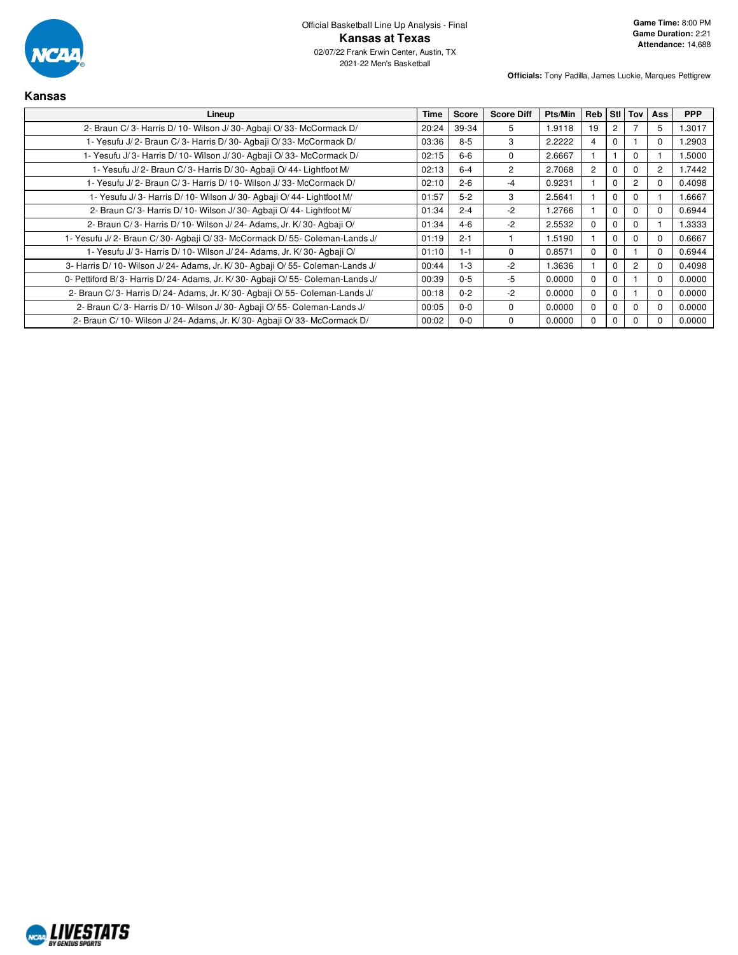

| Kansas                                                                        |       |              |                   |         |            |                      |                |          |            |
|-------------------------------------------------------------------------------|-------|--------------|-------------------|---------|------------|----------------------|----------------|----------|------------|
| Lineup                                                                        | Time  | <b>Score</b> | <b>Score Diff</b> | Pts/Min | <b>Reb</b> |                      | Sti Tov        | Ass      | <b>PPP</b> |
| 2- Braun C/3- Harris D/10- Wilson J/30- Agbaji O/33- McCormack D/             | 20:24 | 39-34        | 5                 | 1.9118  | 19         | $\mathbf{2}^{\circ}$ |                | 5        | 1.3017     |
| 1- Yesufu J/2- Braun C/3- Harris D/30- Agbaji O/33- McCormack D/              | 03:36 | $8 - 5$      | 3                 | 2.2222  |            | 0                    |                | 0        | 1.2903     |
| 1- Yesufu J/3- Harris D/10- Wilson J/30- Agbaji O/33- McCormack D/            | 02:15 | $6-6$        | $\Omega$          | 2.6667  |            |                      | $\Omega$       |          | 1.5000     |
| 1- Yesufu J/2- Braun C/3- Harris D/30- Agbaji O/44- Lightfoot M/              | 02:13 | $6 - 4$      | $\overline{2}$    | 2.7068  | 2          | 0                    | $\Omega$       | 2        | 1.7442     |
| 1- Yesufu J/2- Braun C/3- Harris D/10- Wilson J/33- McCormack D/              | 02:10 | $2 - 6$      | -4                | 0.9231  |            | $\Omega$             | $\overline{c}$ | 0        | 0.4098     |
| 1- Yesufu J/3- Harris D/10- Wilson J/30- Agbaji O/44- Lightfoot M/            | 01:57 | $5 - 2$      | 3                 | 2.5641  |            | $\Omega$             | $\Omega$       |          | 1.6667     |
| 2- Braun C/3- Harris D/10- Wilson J/30- Agbaji O/44- Lightfoot M/             | 01:34 | $2 - 4$      | $-2$              | 1.2766  |            | 0                    | $\Omega$       | 0        | 0.6944     |
| 2- Braun C/3- Harris D/10- Wilson J/24- Adams, Jr. K/30- Agbaji O/            | 01:34 | $4 - 6$      | $-2$              | 2.5532  | $\Omega$   | 0                    | $\Omega$       |          | 1.3333     |
| 1- Yesufu J/2- Braun C/30- Agbaji O/33- McCormack D/55- Coleman-Lands J/      | 01:19 | $2 - 1$      |                   | 1.5190  |            | 0                    | $\Omega$       |          | 0.6667     |
| 1- Yesufu J/3- Harris D/10- Wilson J/24- Adams, Jr. K/30- Agbaji O/           | 01:10 | $1 - 1$      | $\Omega$          | 0.8571  | $\Omega$   | $\Omega$             |                | $\Omega$ | 0.6944     |
| 3- Harris D/10- Wilson J/24- Adams, Jr. K/30- Agbaji O/55- Coleman-Lands J/   | 00:44 | $1 - 3$      | $-2$              | 1.3636  |            | $\Omega$             | $\overline{c}$ | 0        | 0.4098     |
| 0- Pettiford B/3- Harris D/24- Adams, Jr. K/30- Agbaji O/55- Coleman-Lands J/ | 00:39 | $0-5$        | -5                | 0.0000  | $\Omega$   | $\Omega$             |                | $\Omega$ | 0.0000     |
| 2- Braun C/3- Harris D/24- Adams, Jr. K/30- Agbaji O/55- Coleman-Lands J/     | 00:18 | $0 - 2$      | $-2$              | 0.0000  | $\Omega$   | 0                    |                | $\Omega$ | 0.0000     |
| 2- Braun C/3- Harris D/10- Wilson J/30- Agbaii O/55- Coleman-Lands J/         | 00:05 | $0-0$        | $\Omega$          | 0.0000  | 0          | 0                    | $\Omega$       | $_{0}$   | 0.0000     |
| 2- Braun C/ 10- Wilson J/ 24- Adams, Jr. K/ 30- Agbaji O/ 33- McCormack D/    | 00:02 | $0-0$        | $\Omega$          | 0.0000  | $\Omega$   | 0                    | $\Omega$       |          | 0.0000     |